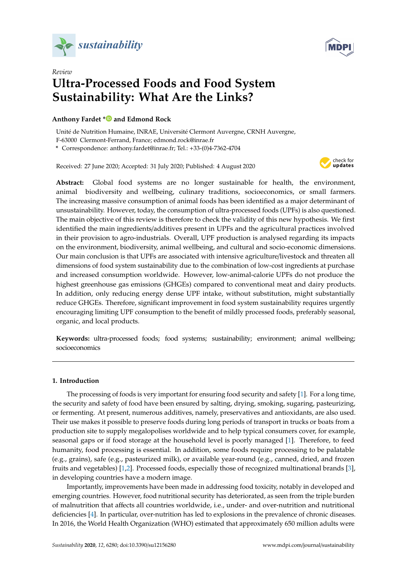



# *Review* **Ultra-Processed Foods and Food System Sustainability: What Are the Links?**

# **Anthony Fardet [\\*](https://orcid.org/0000-0003-4972-9217) and Edmond Rock**

Unité de Nutrition Humaine, INRAE, Université Clermont Auvergne, CRNH Auvergne, F-63000 Clermont-Ferrand, France; edmond.rock@inrae.fr

**\*** Correspondence: anthony.fardet@inrae.fr; Tel.: +33-(0)4-7362-4704

Received: 27 June 2020; Accepted: 31 July 2020; Published: 4 August 2020



**Abstract:** Global food systems are no longer sustainable for health, the environment, animal biodiversity and wellbeing, culinary traditions, socioeconomics, or small farmers. The increasing massive consumption of animal foods has been identified as a major determinant of unsustainability. However, today, the consumption of ultra-processed foods (UPFs) is also questioned. The main objective of this review is therefore to check the validity of this new hypothesis. We first identified the main ingredients/additives present in UPFs and the agricultural practices involved in their provision to agro-industrials. Overall, UPF production is analysed regarding its impacts on the environment, biodiversity, animal wellbeing, and cultural and socio-economic dimensions. Our main conclusion is that UPFs are associated with intensive agriculture/livestock and threaten all dimensions of food system sustainability due to the combination of low-cost ingredients at purchase and increased consumption worldwide. However, low-animal-calorie UPFs do not produce the highest greenhouse gas emissions (GHGEs) compared to conventional meat and dairy products. In addition, only reducing energy dense UPF intake, without substitution, might substantially reduce GHGEs. Therefore, significant improvement in food system sustainability requires urgently encouraging limiting UPF consumption to the benefit of mildly processed foods, preferably seasonal, organic, and local products.

**Keywords:** ultra-processed foods; food systems; sustainability; environment; animal wellbeing; socioeconomics

# **1. Introduction**

The processing of foods is very important for ensuring food security and safety [\[1\]](#page-22-0). For a long time, the security and safety of food have been ensured by salting, drying, smoking, sugaring, pasteurizing, or fermenting. At present, numerous additives, namely, preservatives and antioxidants, are also used. Their use makes it possible to preserve foods during long periods of transport in trucks or boats from a production site to supply megalopolises worldwide and to help typical consumers cover, for example, seasonal gaps or if food storage at the household level is poorly managed [\[1\]](#page-22-0). Therefore, to feed humanity, food processing is essential. In addition, some foods require processing to be palatable (e.g., grains), safe (e.g., pasteurized milk), or available year-round (e.g., canned, dried, and frozen fruits and vegetables) [\[1](#page-22-0)[,2\]](#page-22-1). Processed foods, especially those of recognized multinational brands [\[3\]](#page-22-2), in developing countries have a modern image.

Importantly, improvements have been made in addressing food toxicity, notably in developed and emerging countries. However, food nutritional security has deteriorated, as seen from the triple burden of malnutrition that affects all countries worldwide, i.e., under- and over-nutrition and nutritional deficiencies [\[4\]](#page-22-3). In particular, over-nutrition has led to explosions in the prevalence of chronic diseases. In 2016, the World Health Organization (WHO) estimated that approximately 650 million adults were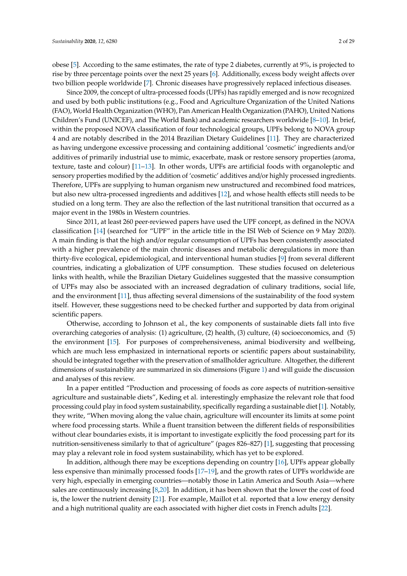obese [\[5\]](#page-22-4). According to the same estimates, the rate of type 2 diabetes, currently at 9%, is projected to rise by three percentage points over the next 25 years [\[6\]](#page-22-5). Additionally, excess body weight affects over two billion people worldwide [\[7\]](#page-22-6). Chronic diseases have progressively replaced infectious diseases.

Since 2009, the concept of ultra-processed foods (UPFs) has rapidly emerged and is now recognized and used by both public institutions (e.g., Food and Agriculture Organization of the United Nations (FAO), World Health Organization (WHO), Pan American Health Organization (PAHO), United Nations Children's Fund (UNICEF), and The World Bank) and academic researchers worldwide [\[8](#page-22-7)[–10\]](#page-22-8). In brief, within the proposed NOVA classification of four technological groups, UPFs belong to NOVA group 4 and are notably described in the 2014 Brazilian Dietary Guidelines [\[11\]](#page-22-9). They are characterized as having undergone excessive processing and containing additional 'cosmetic' ingredients and/or additives of primarily industrial use to mimic, exacerbate, mask or restore sensory properties (aroma, texture, taste and colour) [\[11–](#page-22-9)[13\]](#page-22-10). In other words, UPFs are artificial foods with organoleptic and sensory properties modified by the addition of 'cosmetic' additives and/or highly processed ingredients. Therefore, UPFs are supplying to human organism new unstructured and recombined food matrices, but also new ultra-processed ingredients and additives [\[12\]](#page-22-11), and whose health effects still needs to be studied on a long term. They are also the reflection of the last nutritional transition that occurred as a major event in the 1980s in Western countries.

Since 2011, at least 260 peer-reviewed papers have used the UPF concept, as defined in the NOVA classification [\[14\]](#page-22-12) (searched for "UPF" in the article title in the ISI Web of Science on 9 May 2020). A main finding is that the high and/or regular consumption of UPFs has been consistently associated with a higher prevalence of the main chronic diseases and metabolic deregulations in more than thirty-five ecological, epidemiological, and interventional human studies [\[9\]](#page-22-13) from several different countries, indicating a globalization of UPF consumption. These studies focused on deleterious links with health, while the Brazilian Dietary Guidelines suggested that the massive consumption of UPFs may also be associated with an increased degradation of culinary traditions, social life, and the environment [\[11\]](#page-22-9), thus affecting several dimensions of the sustainability of the food system itself. However, these suggestions need to be checked further and supported by data from original scientific papers.

Otherwise, according to Johnson et al., the key components of sustainable diets fall into five overarching categories of analysis: (1) agriculture, (2) health, (3) culture, (4) socioeconomics, and (5) the environment [\[15\]](#page-22-14). For purposes of comprehensiveness, animal biodiversity and wellbeing, which are much less emphasized in international reports or scientific papers about sustainability, should be integrated together with the preservation of smallholder agriculture. Altogether, the different dimensions of sustainability are summarized in six dimensions (Figure [1\)](#page-2-0) and will guide the discussion and analyses of this review.

In a paper entitled "Production and processing of foods as core aspects of nutrition-sensitive agriculture and sustainable diets", Keding et al. interestingly emphasize the relevant role that food processing could play in food system sustainability, specifically regarding a sustainable diet [\[1\]](#page-22-0). Notably, they write, "When moving along the value chain, agriculture will encounter its limits at some point where food processing starts. While a fluent transition between the different fields of responsibilities without clear boundaries exists, it is important to investigate explicitly the food processing part for its nutrition-sensitiveness similarly to that of agriculture" (pages 826–827) [\[1\]](#page-22-0), suggesting that processing may play a relevant role in food system sustainability, which has yet to be explored.

In addition, although there may be exceptions depending on country [\[16\]](#page-22-15), UPFs appear globally less expensive than minimally processed foods [\[17](#page-22-16)[–19\]](#page-22-17), and the growth rates of UPFs worldwide are very high, especially in emerging countries—notably those in Latin America and South Asia—where sales are continuously increasing [\[8](#page-22-7)[,20\]](#page-22-18). In addition, it has been shown that the lower the cost of food is, the lower the nutrient density [\[21\]](#page-22-19). For example, Maillot et al. reported that a low energy density and a high nutritional quality are each associated with higher diet costs in French adults [\[22\]](#page-22-20).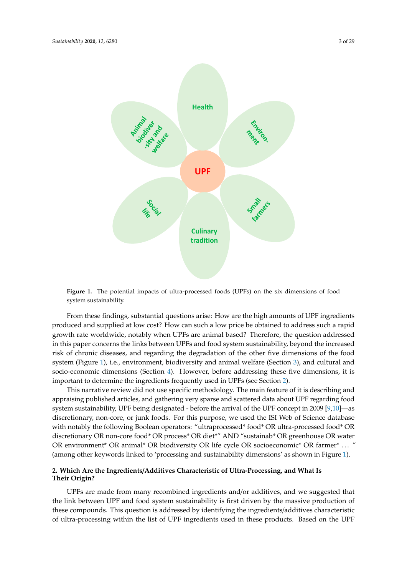<span id="page-2-0"></span>

**Figure 1.** The potential impacts of ultra-processed foods (UPFs) on the six dimensions of food system sustainability.

From these findings, substantial questions arise: How are the high amounts of UPF ingredients produced and supplied at low cost? How can such a low price be obtained to address such a rapid growth rate worldwide, notably when UPFs are animal based? Therefore, the question addressed in this paper concerns the links between UPFs and food system sustainability, beyond the increased risk of chronic diseases, and regarding the degradation of the other five dimensions of the food system (Figure [1\)](#page-2-0), i.e., environment, biodiversity and animal welfare (Section [3\)](#page-6-0), and cultural and socio-economic dimensions (Section [4\)](#page-17-0). However, before addressing these five dimensions, it is important to determine the ingredients frequently used in UPFs (see Section [2\)](#page-2-1).

This narrative review did not use specific methodology. The main feature of it is describing and appraising published articles, and gathering very sparse and scattered data about UPF regarding food system sustainability, UPF being designated - before the arrival of the UPF concept in 2009 [\[9](#page-22-13)[,10\]](#page-22-8)—as discretionary, non-core, or junk foods. For this purpose, we used the ISI Web of Science database with notably the following Boolean operators: "ultraprocessed\* food\* OR ultra-processed food\* OR discretionary OR non-core food\* OR process\* OR diet\*" AND "sustainab\* OR greenhouse OR water OR environment\* OR animal\* OR biodiversity OR life cycle OR socioeconomic\* OR farmer\* . . . " (among other keywords linked to 'processing and sustainability dimensions' as shown in Figure [1\)](#page-2-0).

# <span id="page-2-1"></span>**2. Which Are the Ingredients**/**Additives Characteristic of Ultra-Processing, and What Is Their Origin?**

UPFs are made from many recombined ingredients and/or additives, and we suggested that the link between UPF and food system sustainability is first driven by the massive production of these compounds. This question is addressed by identifying the ingredients/additives characteristic of ultra-processing within the list of UPF ingredients used in these products. Based on the UPF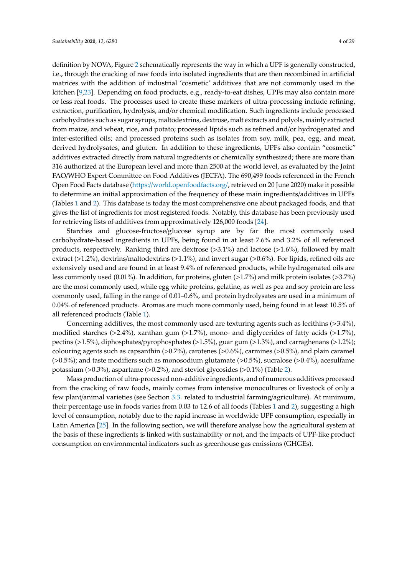definition by NOVA, Figure [2](#page-4-0) schematically represents the way in which a UPF is generally constructed, i.e., through the cracking of raw foods into isolated ingredients that are then recombined in artificial matrices with the addition of industrial 'cosmetic' additives that are not commonly used in the kitchen [\[9,](#page-22-13)[23\]](#page-22-21). Depending on food products, e.g., ready-to-eat dishes, UPFs may also contain more or less real foods. The processes used to create these markers of ultra-processing include refining, extraction, purification, hydrolysis, and/or chemical modification. Such ingredients include processed carbohydrates such as sugar syrups, maltodextrins, dextrose, malt extracts and polyols, mainly extracted from maize, and wheat, rice, and potato; processed lipids such as refined and/or hydrogenated and inter-esterified oils; and processed proteins such as isolates from soy, milk, pea, egg, and meat, derived hydrolysates, and gluten. In addition to these ingredients, UPFs also contain "cosmetic" additives extracted directly from natural ingredients or chemically synthesized; there are more than 316 authorized at the European level and more than 2500 at the world level, as evaluated by the Joint FAO/WHO Expert Committee on Food Additives (JECFA). The 690,499 foods referenced in the French Open Food Facts database (https://[world.openfoodfacts.org](https://world.openfoodfacts.org/)/, retrieved on 20 June 2020) make it possible to determine an initial approximation of the frequency of these main ingredients/additives in UPFs (Tables [1](#page-5-0) and [2\)](#page-5-1). This database is today the most comprehensive one about packaged foods, and that gives the list of ingredients for most registered foods. Notably, this database has been previously used for retrieving lists of additives from approximatively 126,000 foods [\[24\]](#page-23-0).

Starches and glucose-fructose/glucose syrup are by far the most commonly used carbohydrate-based ingredients in UPFs, being found in at least 7.6% and 3.2% of all referenced products, respectively. Ranking third are dextrose (>3.1%) and lactose (>1.6%), followed by malt extract (>1.2%), dextrins/maltodextrins (>1.1%), and invert sugar (>0.6%). For lipids, refined oils are extensively used and are found in at least 9.4% of referenced products, while hydrogenated oils are less commonly used (0.01%). In addition, for proteins, gluten (>1.7%) and milk protein isolates (>3.7%) are the most commonly used, while egg white proteins, gelatine, as well as pea and soy protein are less commonly used, falling in the range of 0.01–0.6%, and protein hydrolysates are used in a minimum of 0.04% of referenced products. Aromas are much more commonly used, being found in at least 10.5% of all referenced products (Table [1\)](#page-5-0).

Concerning additives, the most commonly used are texturing agents such as lecithins (>3.4%), modified starches (>2.4%), xanthan gum (>1.7%), mono- and diglycerides of fatty acids (>1.7%), pectins (>1.5%), diphosphates/pyrophosphates (>1.5%), guar gum (>1.3%), and carraghenans (>1.2%); colouring agents such as capsanthin  $(>0.7\%)$ , carotenes  $(>0.6\%)$ , carmines  $(>0.5\%)$ , and plain caramel  $(>0.5\%)$ ; and taste modifiers such as monosodium glutamate  $(>0.5\%)$ , sucralose  $(>0.4\%)$ , acesulfame potassium (>0.3%), aspartame (>0.2%), and steviol glycosides (>0.1%) (Table [2\)](#page-5-1).

Mass production of ultra-processed non-additive ingredients, and of numerous additives processed from the cracking of raw foods, mainly comes from intensive monocultures or livestock of only a few plant/animal varieties (see Section [3.3.](#page-10-0) related to industrial farming/agriculture). At minimum, their percentage use in foods varies from 0.03 to 12.6 of all foods (Tables [1](#page-5-0) and [2\)](#page-5-1), suggesting a high level of consumption, notably due to the rapid increase in worldwide UPF consumption, especially in Latin America [\[25\]](#page-23-1). In the following section, we will therefore analyse how the agricultural system at the basis of these ingredients is linked with sustainability or not, and the impacts of UPF-like product consumption on environmental indicators such as greenhouse gas emissions (GHGEs).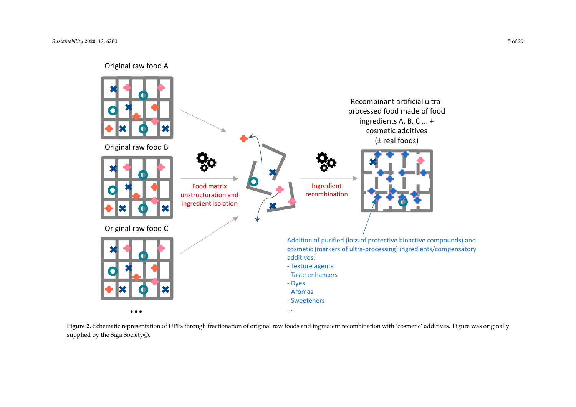

<span id="page-4-0"></span>**Figure 2.** Schematic representation of UPFs through fractionation of original raw foods and ingredient recombination with 'cosmetic' additives. Figure was originally supplied by the Siga Society©.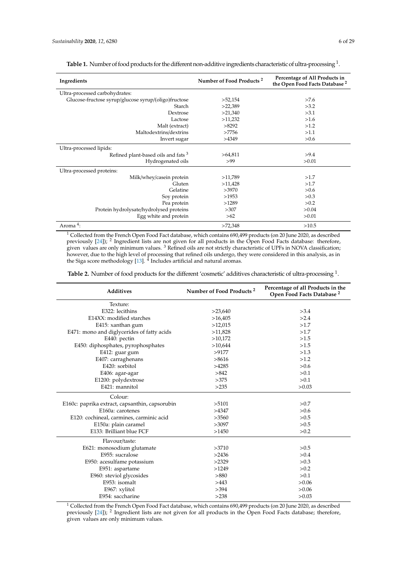Aroma $\overline{4}$ :

<span id="page-5-0"></span>

| Ingredients                                          | Number of Food Products <sup>2</sup> | Percentage of All Products in<br>the Open Food Facts Database <sup>2</sup> |
|------------------------------------------------------|--------------------------------------|----------------------------------------------------------------------------|
| Ultra-processed carbohydrates:                       |                                      |                                                                            |
| Glucose-fructose syrup/glucose syrup/(oligo)fructose | >52,154                              | >7.6                                                                       |
| Starch                                               | >22,389                              | >3.2                                                                       |
| Dextrose                                             | >21,340                              | >3.1                                                                       |
| Lactose                                              | >11,232                              | >1.6                                                                       |
| Malt (extract)                                       | >8292                                | >1.2                                                                       |
| Maltodextrins/dextrins                               | >7756                                | >1.1                                                                       |
| Invert sugar                                         | >4349                                | >0.6                                                                       |
| Ultra-processed lipids:                              |                                      |                                                                            |
| Refined plant-based oils and fats <sup>3</sup>       | >64,811                              | >9.4                                                                       |
| Hydrogenated oils                                    | >99                                  | >0.01                                                                      |
| Ultra-processed proteins:                            |                                      |                                                                            |
| Milk/whey/casein protein                             | >11,789                              | >1.7                                                                       |
| Gluten                                               | >11,428                              | >1.7                                                                       |
| Gelatine                                             | >3970                                | >0.6                                                                       |
| Soy protein                                          | >1953                                | >0.3                                                                       |
| Pea protein                                          | >1289                                | >0.2                                                                       |
| Protein hydrolysate/hydrolysed proteins              | >307                                 | > 0.04                                                                     |
| Egg white and protein                                | >62                                  | >0.01                                                                      |

**Table 1.** Number of food products for the different non-additive ingredients characteristic of ultra-processing  $^1$ .

 $1$  Collected from the French Open Food Fact database, which contains 690,499 products (on 20 June 2020, as described previously [\[24\]](#page-23-0)); <sup>2</sup> Ingredient lists are not given for all products in the Open Food Facts database: therefore, given values are only minimum values. <sup>3</sup> Refined oils are not strictly characteristic of UPFs in NOVA classification; however, due to the high level of processing that refined oils undergo, they were considered in this analysis, as in the Siga score methodology  $[13]$ .  $^4$  Includes artificial and natural aromas.

 $>72,348$   $>10.5$ 

Egg white and protein  $>62$ 

<span id="page-5-1"></span>Table 2. Number of food products for the different 'cosmetic' additives characteristic of ultra-processing <sup>1</sup>.

| Additives                                      | Number of Food Products <sup>2</sup> | Percentage of all Products in the<br>Open Food Facts Database <sup>2</sup> |
|------------------------------------------------|--------------------------------------|----------------------------------------------------------------------------|
| Texture:                                       |                                      |                                                                            |
| E322: lecithins                                | >23,640                              | >3.4                                                                       |
| E14XX: modified starches                       | >16,405                              | >2.4                                                                       |
| E415: xanthan gum                              | >12,015                              | >1.7                                                                       |
| E471: mono and diglycerides of fatty acids     | >11,828                              | >1.7                                                                       |
| E440: pectin                                   | >10,172                              | >1.5                                                                       |
| E450: diphosphates, pyrophosphates             | >10,644                              | >1.5                                                                       |
| E412: guar gum                                 | >9177                                | >1.3                                                                       |
| E407: carraghenans                             | >8616                                | >1.2                                                                       |
| E420: sorbitol                                 | >4285                                | >0.6                                                                       |
| E406: agar-agar                                | >842                                 | > 0.1                                                                      |
| E1200: polydextrose                            | >375                                 | >0.1                                                                       |
| E421: mannitol                                 | >235                                 | >0.03                                                                      |
| Colour:                                        |                                      |                                                                            |
| E160c: paprika extract, capsanthin, capsorubin | >5101                                | >0.7                                                                       |
| E160a: carotenes                               | >4347                                | > 0.6                                                                      |
| E120: cochineal, carmines, carminic acid       | >3560                                | >0.5                                                                       |
| E150a: plain caramel                           | >3097                                | >0.5                                                                       |
| E133: Brilliant blue FCF                       | >1450                                | >0.2                                                                       |
| Flavour/taste:                                 |                                      |                                                                            |
| E621: monosodium glutamate                     | >3710                                | >0.5                                                                       |
| E955: sucralose                                | >2436                                | > 0.4                                                                      |
| E950: acesulfame potassium                     | >2329                                | >0.3                                                                       |
| E951: aspartame                                | >1249                                | >0.2                                                                       |
| E960: steviol glycosides                       | >880                                 | > 0.1                                                                      |
| E953: isomalt                                  | >443                                 | >0.06                                                                      |
| E967: xylitol                                  | >394                                 | >0.06                                                                      |
| E954: saccharine                               | >238                                 | >0.03                                                                      |

<sup>1</sup> Collected from the French Open Food Fact database, which contains 690,499 products (on 20 June 2020, as described previously [\[24\]](#page-23-0)); <sup>2</sup> Ingredient lists are not given for all products in the Open Food Facts database; therefore, given values are only minimum values.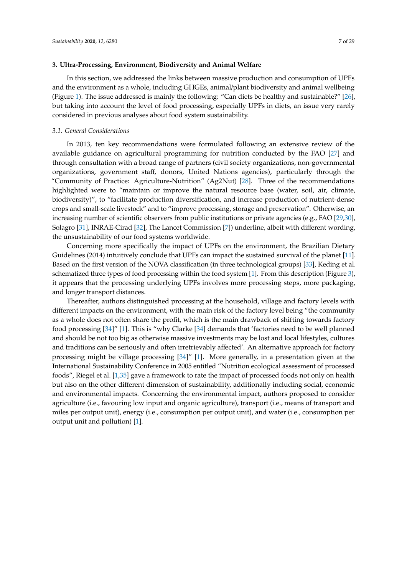#### <span id="page-6-0"></span>**3. Ultra-Processing, Environment, Biodiversity and Animal Welfare**

In this section, we addressed the links between massive production and consumption of UPFs and the environment as a whole, including GHGEs, animal/plant biodiversity and animal wellbeing (Figure [1\)](#page-2-0). The issue addressed is mainly the following: "Can diets be healthy and sustainable?" [\[26\]](#page-23-2), but taking into account the level of food processing, especially UPFs in diets, an issue very rarely considered in previous analyses about food system sustainability.

## *3.1. General Considerations*

In 2013, ten key recommendations were formulated following an extensive review of the available guidance on agricultural programming for nutrition conducted by the FAO [\[27\]](#page-23-3) and through consultation with a broad range of partners (civil society organizations, non-governmental organizations, government staff, donors, United Nations agencies), particularly through the "Community of Practice: Agriculture-Nutrition" (Ag2Nut) [\[28\]](#page-23-4). Three of the recommendations highlighted were to "maintain or improve the natural resource base (water, soil, air, climate, biodiversity)", to "facilitate production diversification, and increase production of nutrient-dense crops and small-scale livestock" and to "improve processing, storage and preservation". Otherwise, an increasing number of scientific observers from public institutions or private agencies (e.g., FAO [\[29](#page-23-5)[,30\]](#page-23-6), Solagro [\[31\]](#page-23-7), INRAE-Cirad [\[32\]](#page-23-8), The Lancet Commission [\[7\]](#page-22-6)) underline, albeit with different wording, the unsustainability of our food systems worldwide.

Concerning more specifically the impact of UPFs on the environment, the Brazilian Dietary Guidelines (2014) intuitively conclude that UPFs can impact the sustained survival of the planet [\[11\]](#page-22-9). Based on the first version of the NOVA classification (in three technological groups) [\[33\]](#page-23-9), Keding et al. schematized three types of food processing within the food system [\[1\]](#page-22-0). From this description (Figure [3\)](#page-7-0), it appears that the processing underlying UPFs involves more processing steps, more packaging, and longer transport distances.

Thereafter, authors distinguished processing at the household, village and factory levels with different impacts on the environment, with the main risk of the factory level being "the community as a whole does not often share the profit, which is the main drawback of shifting towards factory food processing [\[34\]](#page-23-10)" [\[1\]](#page-22-0). This is "why Clarke [\[34\]](#page-23-10) demands that 'factories need to be well planned and should be not too big as otherwise massive investments may be lost and local lifestyles, cultures and traditions can be seriously and often irretrievably affected'. An alternative approach for factory processing might be village processing [\[34\]](#page-23-10)" [\[1\]](#page-22-0). More generally, in a presentation given at the International Sustainability Conference in 2005 entitled "Nutrition ecological assessment of processed foods", Riegel et al. [\[1](#page-22-0)[,35\]](#page-23-11) gave a framework to rate the impact of processed foods not only on health but also on the other different dimension of sustainability, additionally including social, economic and environmental impacts. Concerning the environmental impact, authors proposed to consider agriculture (i.e., favouring low input and organic agriculture), transport (i.e., means of transport and miles per output unit), energy (i.e., consumption per output unit), and water (i.e., consumption per output unit and pollution) [\[1\]](#page-22-0).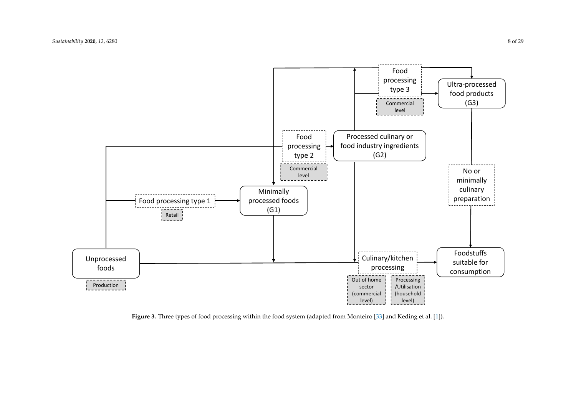

<span id="page-7-0"></span>**Figure 3.** Three types of food processing within the food system (adapted from Monteiro [\[33\]](#page-23-12) and Keding et al. [\[1\]](#page-22-22)).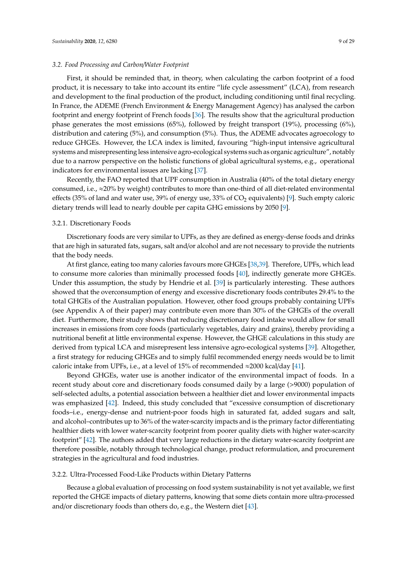#### *3.2. Food Processing and Carbon*/*Water Footprint*

First, it should be reminded that, in theory, when calculating the carbon footprint of a food product, it is necessary to take into account its entire "life cycle assessment" (LCA), from research and development to the final production of the product, including conditioning until final recycling. In France, the ADEME (French Environment & Energy Management Agency) has analysed the carbon footprint and energy footprint of French foods [\[36\]](#page-23-13). The results show that the agricultural production phase generates the most emissions (65%), followed by freight transport (19%), processing (6%), distribution and catering (5%), and consumption (5%). Thus, the ADEME advocates agroecology to reduce GHGEs. However, the LCA index is limited, favouring "high-input intensive agricultural systems and misrepresenting less intensive agro-ecological systems such as organic agriculture", notably due to a narrow perspective on the holistic functions of global agricultural systems, e.g., operational indicators for environmental issues are lacking [\[37\]](#page-23-14).

Recently, the FAO reported that UPF consumption in Australia (40% of the total dietary energy consumed, i.e.,  $\approx$ 20% by weight) contributes to more than one-third of all diet-related environmental effects (35% of land and water use, 39% of energy use, 33% of  $CO<sub>2</sub>$  equivalents) [\[9\]](#page-22-13). Such empty caloric dietary trends will lead to nearly double per capita GHG emissions by 2050 [\[9\]](#page-22-13).

#### 3.2.1. Discretionary Foods

Discretionary foods are very similar to UPFs, as they are defined as energy-dense foods and drinks that are high in saturated fats, sugars, salt and/or alcohol and are not necessary to provide the nutrients that the body needs.

At first glance, eating too many calories favours more GHGEs [\[38](#page-23-15)[,39\]](#page-23-16). Therefore, UPFs, which lead to consume more calories than minimally processed foods [\[40\]](#page-23-17), indirectly generate more GHGEs. Under this assumption, the study by Hendrie et al. [\[39\]](#page-23-16) is particularly interesting. These authors showed that the overconsumption of energy and excessive discretionary foods contributes 29.4% to the total GHGEs of the Australian population. However, other food groups probably containing UPFs (see Appendix A of their paper) may contribute even more than 30% of the GHGEs of the overall diet. Furthermore, their study shows that reducing discretionary food intake would allow for small increases in emissions from core foods (particularly vegetables, dairy and grains), thereby providing a nutritional benefit at little environmental expense. However, the GHGE calculations in this study are derived from typical LCA and misrepresent less intensive agro-ecological systems [\[39\]](#page-23-16). Altogether, a first strategy for reducing GHGEs and to simply fulfil recommended energy needs would be to limit caloric intake from UPFs, i.e., at a level of 15% of recommended  $\approx$ 2000 kcal/day [\[41\]](#page-23-18).

Beyond GHGEs, water use is another indicator of the environmental impact of foods. In a recent study about core and discretionary foods consumed daily by a large (>9000) population of self-selected adults, a potential association between a healthier diet and lower environmental impacts was emphasized [\[42\]](#page-23-19). Indeed, this study concluded that "excessive consumption of discretionary foods–i.e., energy-dense and nutrient-poor foods high in saturated fat, added sugars and salt, and alcohol–contributes up to 36% of the water-scarcity impacts and is the primary factor differentiating healthier diets with lower water-scarcity footprint from poorer quality diets with higher water-scarcity footprint" [\[42\]](#page-23-19). The authors added that very large reductions in the dietary water-scarcity footprint are therefore possible, notably through technological change, product reformulation, and procurement strategies in the agricultural and food industries.

#### 3.2.2. Ultra-Processed Food-Like Products within Dietary Patterns

Because a global evaluation of processing on food system sustainability is not yet available, we first reported the GHGE impacts of dietary patterns, knowing that some diets contain more ultra-processed and/or discretionary foods than others do, e.g., the Western diet [\[43\]](#page-23-20).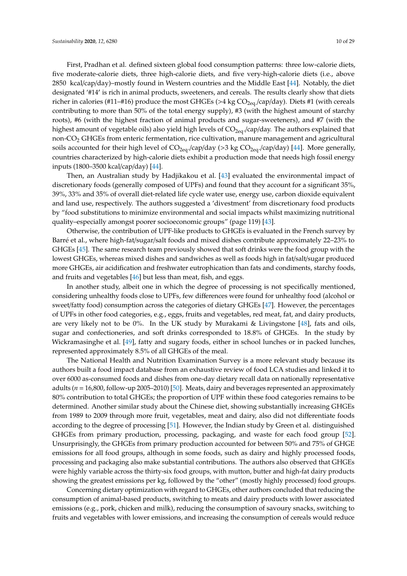First, Pradhan et al. defined sixteen global food consumption patterns: three low-calorie diets, five moderate-calorie diets, three high-calorie diets, and five very-high-calorie diets (i.e., above 2850 kcal/cap/day)–mostly found in Western countries and the Middle East [\[44\]](#page-23-21). Notably, the diet designated '#14' is rich in animal products, sweeteners, and cereals. The results clearly show that diets richer in calories (#11–#16) produce the most GHGEs (>4 kg  $CO<sub>2ea</sub> / cap/day)$ . Diets #1 (with cereals contributing to more than 50% of the total energy supply), #3 (with the highest amount of starchy roots), #6 (with the highest fraction of animal products and sugar-sweeteners), and #7 (with the highest amount of vegetable oils) also yield high levels of  $CO_{2eq}$ /cap/day. The authors explained that non-CO<sup>2</sup> GHGEs from enteric fermentation, rice cultivation, manure management and agricultural soils accounted for their high level of  $CO_{2eq}$  /cap/day (>3 kg  $CO_{2eq}$  /cap/day) [\[44\]](#page-23-21). More generally, countries characterized by high-calorie diets exhibit a production mode that needs high fossil energy inputs (1800–3500 kcal/cap/day) [\[44\]](#page-23-21).

Then, an Australian study by Hadjikakou et al. [\[43\]](#page-23-20) evaluated the environmental impact of discretionary foods (generally composed of UPFs) and found that they account for a significant 35%, 39%, 33% and 35% of overall diet-related life cycle water use, energy use, carbon dioxide equivalent and land use, respectively. The authors suggested a 'divestment' from discretionary food products by "food substitutions to minimize environmental and social impacts whilst maximizing nutritional quality–especially amongst poorer socioeconomic groups" (page 119) [\[43\]](#page-23-20).

Otherwise, the contribution of UPF-like products to GHGEs is evaluated in the French survey by Barré et al., where high-fat/sugar/salt foods and mixed dishes contribute approximately 22–23% to GHGEs [\[45\]](#page-23-22). The same research team previously showed that soft drinks were the food group with the lowest GHGEs, whereas mixed dishes and sandwiches as well as foods high in fat/salt/sugar produced more GHGEs, air acidification and freshwater eutrophication than fats and condiments, starchy foods, and fruits and vegetables [\[46\]](#page-23-23) but less than meat, fish, and eggs.

In another study, albeit one in which the degree of processing is not specifically mentioned, considering unhealthy foods close to UPFs, few differences were found for unhealthy food (alcohol or sweet/fatty food) consumption across the categories of dietary GHGEs [\[47\]](#page-24-0). However, the percentages of UPFs in other food categories, e.g., eggs, fruits and vegetables, red meat, fat, and dairy products, are very likely not to be 0%. In the UK study by Murakami & Livingstone [\[48\]](#page-24-1), fats and oils, sugar and confectioneries, and soft drinks corresponded to 18.8% of GHGEs. In the study by Wickramasinghe et al. [\[49\]](#page-24-2), fatty and sugary foods, either in school lunches or in packed lunches, represented approximately 8.5% of all GHGEs of the meal.

The National Health and Nutrition Examination Survey is a more relevant study because its authors built a food impact database from an exhaustive review of food LCA studies and linked it to over 6000 as-consumed foods and dishes from one-day dietary recall data on nationally representative adults (*n* = 16,800, follow-up 2005–2010) [\[50\]](#page-24-3). Meats, dairy and beverages represented an approximately 80% contribution to total GHGEs; the proportion of UPF within these food categories remains to be determined. Another similar study about the Chinese diet, showing substantially increasing GHGEs from 1989 to 2009 through more fruit, vegetables, meat and dairy, also did not differentiate foods according to the degree of processing [\[51\]](#page-24-4). However, the Indian study by Green et al. distinguished GHGEs from primary production, processing, packaging, and waste for each food group [\[52\]](#page-24-5). Unsurprisingly, the GHGEs from primary production accounted for between 50% and 75% of GHGE emissions for all food groups, although in some foods, such as dairy and highly processed foods, processing and packaging also make substantial contributions. The authors also observed that GHGEs were highly variable across the thirty-six food groups, with mutton, butter and high-fat dairy products showing the greatest emissions per kg, followed by the "other" (mostly highly processed) food groups.

Concerning dietary optimization with regard to GHGEs, other authors concluded that reducing the consumption of animal-based products, switching to meats and dairy products with lower associated emissions (e.g., pork, chicken and milk), reducing the consumption of savoury snacks, switching to fruits and vegetables with lower emissions, and increasing the consumption of cereals would reduce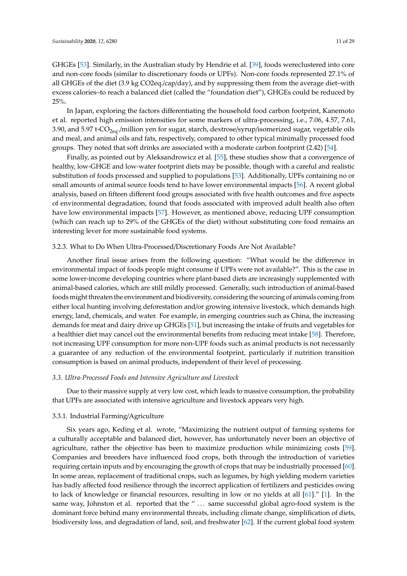GHGEs [\[53\]](#page-24-6). Similarly, in the Australian study by Hendrie et al. [\[39\]](#page-23-16), foods wereclustered into core and non-core foods (similar to discretionary foods or UPFs). Non-core foods represented 27.1% of all GHGEs of the diet (3.9 kg CO2eq./cap/day), and by suppressing them from the average diet–with excess calories–to reach a balanced diet (called the "foundation diet"), GHGEs could be reduced by 25%.

In Japan, exploring the factors differentiating the household food carbon footprint, Kanemoto et al. reported high emission intensities for some markers of ultra-processing, i.e., 7.06, 4.57, 7.61, 3.90, and 5.97 t-CO<sub>2eq</sub>./million yen for sugar, starch, dextrose/syrup/isomerized sugar, vegetable oils and meal, and animal oils and fats, respectively, compared to other typical minimally processed food groups. They noted that soft drinks are associated with a moderate carbon footprint (2.42) [\[54\]](#page-24-7).

Finally, as pointed out by Aleksandrowicz et al. [\[55\]](#page-24-8), these studies show that a convergence of healthy, low-GHGE and low-water footprint diets may be possible, though with a careful and realistic substitution of foods processed and supplied to populations [\[53\]](#page-24-6). Additionally, UPFs containing no or small amounts of animal source foods tend to have lower environmental impacts [\[56\]](#page-24-9). A recent global analysis, based on fifteen different food groups associated with five health outcomes and five aspects of environmental degradation, found that foods associated with improved adult health also often have low environmental impacts [\[57\]](#page-24-10). However, as mentioned above, reducing UPF consumption (which can reach up to 29% of the GHGEs of the diet) without substituting core food remains an interesting lever for more sustainable food systems.

#### 3.2.3. What to Do When Ultra-Processed/Discretionary Foods Are Not Available?

Another final issue arises from the following question: "What would be the difference in environmental impact of foods people might consume if UPFs were not available?". This is the case in some lower-income developing countries where plant-based diets are increasingly supplemented with animal-based calories, which are still mildly processed. Generally, such introduction of animal-based foods might threaten the environment and biodiversity, considering the sourcing of animals coming from either local hunting involving deforestation and/or growing intensive livestock, which demands high energy, land, chemicals, and water. For example, in emerging countries such as China, the increasing demands for meat and dairy drive up GHGEs [\[51\]](#page-24-4), but increasing the intake of fruits and vegetables for a healthier diet may cancel out the environmental benefits from reducing meat intake [\[58\]](#page-24-11). Therefore, not increasing UPF consumption for more non-UPF foods such as animal products is not necessarily a guarantee of any reduction of the environmental footprint, particularly if nutrition transition consumption is based on animal products, independent of their level of processing.

#### <span id="page-10-0"></span>*3.3. Ultra-Processed Foods and Intensive Agriculture and Livestock*

Due to their massive supply at very low cost, which leads to massive consumption, the probability that UPFs are associated with intensive agriculture and livestock appears very high.

## 3.3.1. Industrial Farming/Agriculture

Six years ago, Keding et al. wrote, "Maximizing the nutrient output of farming systems for a culturally acceptable and balanced diet, however, has unfortunately never been an objective of agriculture, rather the objective has been to maximize production while minimizing costs [\[59\]](#page-24-12). Companies and breeders have influenced food crops, both through the introduction of varieties requiring certain inputs and by encouraging the growth of crops that may be industrially processed [\[60\]](#page-24-13). In some areas, replacement of traditional crops, such as legumes, by high yielding modern varieties has badly affected food resilience through the incorrect application of fertilizers and pesticides owing to lack of knowledge or financial resources, resulting in low or no yields at all [\[61\]](#page-24-14)." [\[1\]](#page-22-0). In the same way, Johnston et al. reported that the " ... same successful global agro-food system is the dominant force behind many environmental threats, including climate change, simplification of diets, biodiversity loss, and degradation of land, soil, and freshwater [\[62\]](#page-24-15). If the current global food system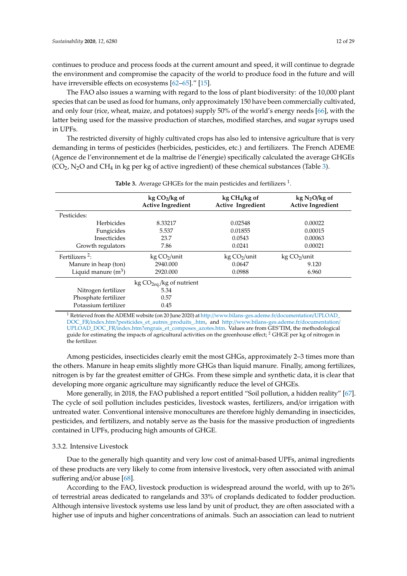continues to produce and process foods at the current amount and speed, it will continue to degrade the environment and compromise the capacity of the world to produce food in the future and will have irreversible effects on ecosystems [\[62–](#page-24-15)[65\]](#page-24-16)." [\[15\]](#page-22-14).

The FAO also issues a warning with regard to the loss of plant biodiversity: of the 10,000 plant species that can be used as food for humans, only approximately 150 have been commercially cultivated, and only four (rice, wheat, maize, and potatoes) supply 50% of the world's energy needs [\[66\]](#page-24-17), with the latter being used for the massive production of starches, modified starches, and sugar syrups used in UPFs.

The restricted diversity of highly cultivated crops has also led to intensive agriculture that is very demanding in terms of pesticides (herbicides, pesticides, etc.) and fertilizers. The French ADEME (Agence de l'environnement et de la maîtrise de l'énergie) specifically calculated the average GHGEs  $(CO<sub>2</sub>, N<sub>2</sub>O$  and CH<sub>4</sub> in kg per kg of active ingredient) of these chemical substances (Table [3\)](#page-11-0).

<span id="page-11-0"></span>

|                            | $kg CO2/kg$ of<br><b>Active Ingredient</b> | $kg CH4/kg$ of<br><b>Active Ingredient</b> | $kg N2O/kg$ of<br><b>Active Ingredient</b> |
|----------------------------|--------------------------------------------|--------------------------------------------|--------------------------------------------|
| Pesticides:                |                                            |                                            |                                            |
| Herbicides                 | 8.33217                                    | 0.02548                                    | 0.00022                                    |
| Fungicides                 | 5.537                                      | 0.01855                                    | 0.00015                                    |
| <b>Insecticides</b>        | 23.7                                       | 0.0543                                     | 0.00063                                    |
| Growth regulators          | 7.86                                       | 0.0241                                     | 0.00021                                    |
| Fertilizers <sup>2</sup> : | kg CO <sub>2</sub> /unit                   | kg CO <sub>2</sub> /unit                   | kg CO <sub>2</sub> /unit                   |
| Manure in heap (ton)       | 2940.000                                   | 0.0647                                     | 9.120                                      |
| Liquid manure $(m^3)$      | 2920.000                                   | 0.0988                                     | 6.960                                      |
|                            | kg $CO2eq/kg$ of nutrient                  |                                            |                                            |
| Nitrogen fertilizer        | 5.34                                       |                                            |                                            |
| Phosphate fertilizer       | 0.57                                       |                                            |                                            |
| Potassium fertilizer       | 0.45                                       |                                            |                                            |

Table 3. Average GHGEs for the main pesticides and fertilizers <sup>1</sup>.

<sup>1</sup> Retrieved from the ADEME website (on 20 June 2020) at http://[www.bilans-ges.ademe.fr](http://www.bilans-ges.ademe.fr/documentation/UPLOAD_DOC_FR/index.htm?pesticides_et_autres_produits_.htm)/documentation/UPLOAD\_ DOC\_FR/[index.htm?pesticides\\_et\\_autres\\_produits\\_.htm,](http://www.bilans-ges.ademe.fr/documentation/UPLOAD_DOC_FR/index.htm?pesticides_et_autres_produits_.htm) and http://[www.bilans-ges.ademe.fr](http://www.bilans-ges.ademe.fr/documentation/UPLOAD_DOC_FR/index.htm?engrais_et_composes_azotes.htm)/documentation/ UPLOAD\_DOC\_FR/[index.htm?engrais\\_et\\_composes\\_azotes.htm.](http://www.bilans-ges.ademe.fr/documentation/UPLOAD_DOC_FR/index.htm?engrais_et_composes_azotes.htm) Values are from GES'TIM, the methodological guide for estimating the impacts of agricultural activities on the greenhouse effect;<sup>2</sup> GHGE per kg of nitrogen in the fertilizer.

Among pesticides, insecticides clearly emit the most GHGs, approximately 2–3 times more than the others. Manure in heap emits slightly more GHGs than liquid manure. Finally, among fertilizes, nitrogen is by far the greatest emitter of GHGs. From these simple and synthetic data, it is clear that developing more organic agriculture may significantly reduce the level of GHGEs.

More generally, in 2018, the FAO published a report entitled "Soil pollution, a hidden reality" [\[67\]](#page-24-18). The cycle of soil pollution includes pesticides, livestock wastes, fertilizers, and/or irrigation with untreated water. Conventional intensive monocultures are therefore highly demanding in insecticides, pesticides, and fertilizers, and notably serve as the basis for the massive production of ingredients contained in UPFs, producing high amounts of GHGE.

## 3.3.2. Intensive Livestock

Due to the generally high quantity and very low cost of animal-based UPFs, animal ingredients of these products are very likely to come from intensive livestock, very often associated with animal suffering and/or abuse [\[68\]](#page-24-19).

According to the FAO, livestock production is widespread around the world, with up to 26% of terrestrial areas dedicated to rangelands and 33% of croplands dedicated to fodder production. Although intensive livestock systems use less land by unit of product, they are often associated with a higher use of inputs and higher concentrations of animals. Such an association can lead to nutrient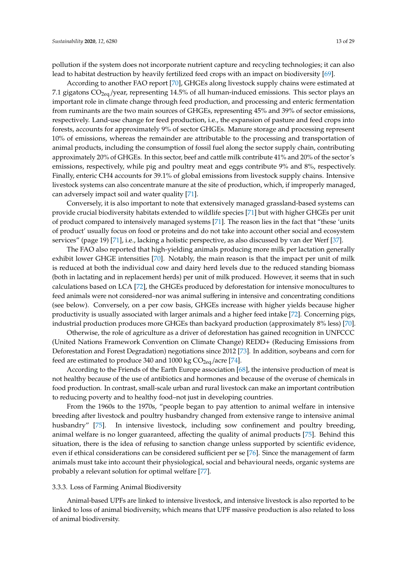pollution if the system does not incorporate nutrient capture and recycling technologies; it can also lead to habitat destruction by heavily fertilized feed crops with an impact on biodiversity [\[69\]](#page-24-20).

According to another FAO report [\[70\]](#page-25-0), GHGEs along livestock supply chains were estimated at 7.1 gigatons  $CO<sub>2eq</sub>/year$ , representing 14.5% of all human-induced emissions. This sector plays an important role in climate change through feed production, and processing and enteric fermentation from ruminants are the two main sources of GHGEs, representing 45% and 39% of sector emissions, respectively. Land-use change for feed production, i.e., the expansion of pasture and feed crops into forests, accounts for approximately 9% of sector GHGEs. Manure storage and processing represent 10% of emissions, whereas the remainder are attributable to the processing and transportation of animal products, including the consumption of fossil fuel along the sector supply chain, contributing approximately 20% of GHGEs. In this sector, beef and cattle milk contribute 41% and 20% of the sector's emissions, respectively, while pig and poultry meat and eggs contribute 9% and 8%, respectively. Finally, enteric CH4 accounts for 39.1% of global emissions from livestock supply chains. Intensive livestock systems can also concentrate manure at the site of production, which, if improperly managed, can adversely impact soil and water quality [\[71\]](#page-25-1).

Conversely, it is also important to note that extensively managed grassland-based systems can provide crucial biodiversity habitats extended to wildlife species [\[71\]](#page-25-1) but with higher GHGEs per unit of product compared to intensively managed systems [\[71\]](#page-25-1). The reason lies in the fact that "these 'units of product' usually focus on food or proteins and do not take into account other social and ecosystem services" (page 19) [\[71\]](#page-25-1), i.e., lacking a holistic perspective, as also discussed by van der Werf [\[37\]](#page-23-14).

The FAO also reported that high-yielding animals producing more milk per lactation generally exhibit lower GHGE intensities [\[70\]](#page-25-0). Notably, the main reason is that the impact per unit of milk is reduced at both the individual cow and dairy herd levels due to the reduced standing biomass (both in lactating and in replacement herds) per unit of milk produced. However, it seems that in such calculations based on LCA [\[72\]](#page-25-2), the GHGEs produced by deforestation for intensive monocultures to feed animals were not considered–nor was animal suffering in intensive and concentrating conditions (see below). Conversely, on a per cow basis, GHGEs increase with higher yields because higher productivity is usually associated with larger animals and a higher feed intake [\[72\]](#page-25-2). Concerning pigs, industrial production produces more GHGEs than backyard production (approximately 8% less) [\[70\]](#page-25-0).

Otherwise, the role of agriculture as a driver of deforestation has gained recognition in UNFCCC (United Nations Framework Convention on Climate Change) REDD+ (Reducing Emissions from Deforestation and Forest Degradation) negotiations since 2012 [\[73\]](#page-25-3). In addition, soybeans and corn for feed are estimated to produce 340 and 1000 kg  $CO<sub>2eq</sub>/\text{acre } [74]$  $CO<sub>2eq</sub>/\text{acre } [74]$ .

According to the Friends of the Earth Europe association [\[68\]](#page-24-19), the intensive production of meat is not healthy because of the use of antibiotics and hormones and because of the overuse of chemicals in food production. In contrast, small-scale urban and rural livestock can make an important contribution to reducing poverty and to healthy food–not just in developing countries.

From the 1960s to the 1970s, "people began to pay attention to animal welfare in intensive breeding after livestock and poultry husbandry changed from extensive range to intensive animal husbandry" [\[75\]](#page-25-5). In intensive livestock, including sow confinement and poultry breeding, animal welfare is no longer guaranteed, affecting the quality of animal products [\[75\]](#page-25-5). Behind this situation, there is the idea of refusing to sanction change unless supported by scientific evidence, even if ethical considerations can be considered sufficient per se [\[76\]](#page-25-6). Since the management of farm animals must take into account their physiological, social and behavioural needs, organic systems are probably a relevant solution for optimal welfare [\[77\]](#page-25-7).

#### 3.3.3. Loss of Farming Animal Biodiversity

Animal-based UPFs are linked to intensive livestock, and intensive livestock is also reported to be linked to loss of animal biodiversity, which means that UPF massive production is also related to loss of animal biodiversity.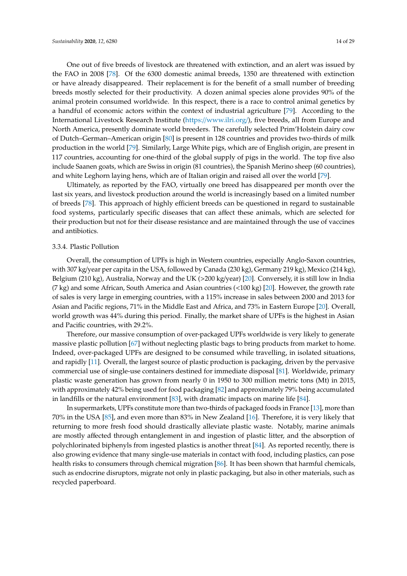One out of five breeds of livestock are threatened with extinction, and an alert was issued by the FAO in 2008 [\[78\]](#page-25-8). Of the 6300 domestic animal breeds, 1350 are threatened with extinction or have already disappeared. Their replacement is for the benefit of a small number of breeding breeds mostly selected for their productivity. A dozen animal species alone provides 90% of the animal protein consumed worldwide. In this respect, there is a race to control animal genetics by

a handful of economic actors within the context of industrial agriculture [\[79\]](#page-25-9). According to the International Livestock Research Institute (https://[www.ilri.org](https://www.ilri.org/)/), five breeds, all from Europe and North America, presently dominate world breeders. The carefully selected Prim'Holstein dairy cow of Dutch–German–American origin [\[80\]](#page-25-10) is present in 128 countries and provides two-thirds of milk production in the world [\[79\]](#page-25-9). Similarly, Large White pigs, which are of English origin, are present in 117 countries, accounting for one-third of the global supply of pigs in the world. The top five also include Saanen goats, which are Swiss in origin (81 countries), the Spanish Merino sheep (60 countries), and white Leghorn laying hens, which are of Italian origin and raised all over the world [\[79\]](#page-25-9).

Ultimately, as reported by the FAO, virtually one breed has disappeared per month over the last six years, and livestock production around the world is increasingly based on a limited number of breeds [\[78\]](#page-25-8). This approach of highly efficient breeds can be questioned in regard to sustainable food systems, particularly specific diseases that can affect these animals, which are selected for their production but not for their disease resistance and are maintained through the use of vaccines and antibiotics.

#### 3.3.4. Plastic Pollution

Overall, the consumption of UPFs is high in Western countries, especially Anglo-Saxon countries, with 307 kg/year per capita in the USA, followed by Canada (230 kg), Germany 219 kg), Mexico (214 kg), Belgium (210 kg), Australia, Norway and the UK (>200 kg/year) [\[20\]](#page-22-18). Conversely, it is still low in India (7 kg) and some African, South America and Asian countries (<100 kg) [\[20\]](#page-22-18). However, the growth rate of sales is very large in emerging countries, with a 115% increase in sales between 2000 and 2013 for Asian and Pacific regions, 71% in the Middle East and Africa, and 73% in Eastern Europe [\[20\]](#page-22-18). Overall, world growth was 44% during this period. Finally, the market share of UPFs is the highest in Asian and Pacific countries, with 29.2%.

Therefore, our massive consumption of over-packaged UPFs worldwide is very likely to generate massive plastic pollution [\[67\]](#page-24-18) without neglecting plastic bags to bring products from market to home. Indeed, over-packaged UPFs are designed to be consumed while travelling, in isolated situations, and rapidly [\[11\]](#page-22-9). Overall, the largest source of plastic production is packaging, driven by the pervasive commercial use of single-use containers destined for immediate disposal [\[81\]](#page-25-11). Worldwide, primary plastic waste generation has grown from nearly 0 in 1950 to 300 million metric tons (Mt) in 2015, with approximately 42% being used for food packaging [\[82\]](#page-25-12) and approximately 79% being accumulated in landfills or the natural environment [\[83\]](#page-25-13), with dramatic impacts on marine life [\[84\]](#page-25-14).

In supermarkets, UPFs constitute more than two-thirds of packaged foods in France [\[13\]](#page-22-10), more than 70% in the USA [\[85\]](#page-25-15), and even more than 83% in New Zealand [\[16\]](#page-22-15). Therefore, it is very likely that returning to more fresh food should drastically alleviate plastic waste. Notably, marine animals are mostly affected through entanglement in and ingestion of plastic litter, and the absorption of polychlorinated biphenyls from ingested plastics is another threat [\[84\]](#page-25-14). As reported recently, there is also growing evidence that many single-use materials in contact with food, including plastics, can pose health risks to consumers through chemical migration [\[86\]](#page-25-16). It has been shown that harmful chemicals, such as endocrine disruptors, migrate not only in plastic packaging, but also in other materials, such as recycled paperboard.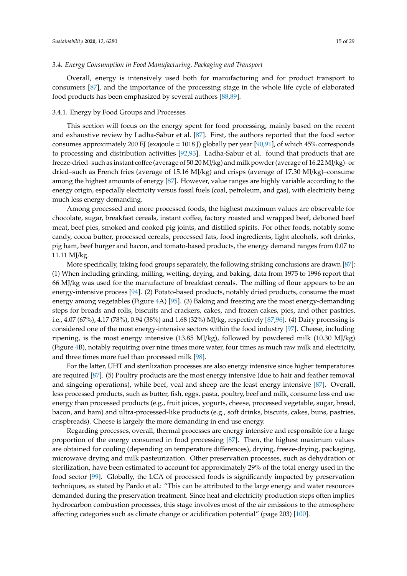#### *3.4. Energy Consumption in Food Manufacturing, Packaging and Transport*

Overall, energy is intensively used both for manufacturing and for product transport to consumers [\[87\]](#page-25-17), and the importance of the processing stage in the whole life cycle of elaborated food products has been emphasized by several authors [\[88,](#page-25-18)[89\]](#page-25-19).

#### 3.4.1. Energy by Food Groups and Processes

This section will focus on the energy spent for food processing, mainly based on the recent and exhaustive review by Ladha-Sabur et al. [\[87\]](#page-25-17). First, the authors reported that the food sector consumes approximately 200 EJ (exajoule = 1018 J) globally per year [\[90](#page-25-20)[,91\]](#page-25-21), of which 45% corresponds to processing and distribution activities [\[92](#page-25-22)[,93\]](#page-26-0). Ladha-Sabur et al. found that products that are freeze-dried–such as instant coffee (average of 50.20 MJ/kg) and milk powder (average of 16.22 MJ/kg)–or dried–such as French fries (average of 15.16 MJ/kg) and crisps (average of 17.30 MJ/kg)–consume among the highest amounts of energy [\[87\]](#page-25-17). However, value ranges are highly variable according to the energy origin, especially electricity versus fossil fuels (coal, petroleum, and gas), with electricity being much less energy demanding.

Among processed and more processed foods, the highest maximum values are observable for chocolate, sugar, breakfast cereals, instant coffee, factory roasted and wrapped beef, deboned beef meat, beef pies, smoked and cooked pig joints, and distilled spirits. For other foods, notably some candy, cocoa butter, processed cereals, processed fats, food ingredients, light alcohols, soft drinks, pig ham, beef burger and bacon, and tomato-based products, the energy demand ranges from 0.07 to 11.11 MJ/kg.

More specifically, taking food groups separately, the following striking conclusions are drawn [\[87\]](#page-25-17): (1) When including grinding, milling, wetting, drying, and baking, data from 1975 to 1996 report that 66 MJ/kg was used for the manufacture of breakfast cereals. The milling of flour appears to be an energy-intensive process [\[94\]](#page-26-1). (2) Potato-based products, notably dried products, consume the most energy among vegetables (Figure [4A](#page-15-0)) [\[95\]](#page-26-2). (3) Baking and freezing are the most energy-demanding steps for breads and rolls, biscuits and crackers, cakes, and frozen cakes, pies, and other pastries, i.e., 4.07 (67%), 4.17 (78%), 0.94 (38%) and 1.68 (32%) MJ/kg, respectively [\[87,](#page-25-17)[96\]](#page-26-3). (4) Dairy processing is considered one of the most energy-intensive sectors within the food industry [\[97\]](#page-26-4). Cheese, including ripening, is the most energy intensive (13.85 MJ/kg), followed by powdered milk (10.30 MJ/kg) (Figure [4B](#page-15-0)), notably requiring over nine times more water, four times as much raw milk and electricity, and three times more fuel than processed milk [\[98\]](#page-26-5).

For the latter, UHT and sterilization processes are also energy intensive since higher temperatures are required [\[87\]](#page-25-17). (5) Poultry products are the most energy intensive (due to hair and feather removal and singeing operations), while beef, veal and sheep are the least energy intensive [\[87\]](#page-25-17). Overall, less processed products, such as butter, fish, eggs, pasta, poultry, beef and milk, consume less end use energy than processed products (e.g., fruit juices, yogurts, cheese, processed vegetable, sugar, bread, bacon, and ham) and ultra-processed-like products (e.g., soft drinks, biscuits, cakes, buns, pastries, crispbreads). Cheese is largely the more demanding in end use energy.

Regarding processes, overall, thermal processes are energy intensive and responsible for a large proportion of the energy consumed in food processing [\[87\]](#page-25-17). Then, the highest maximum values are obtained for cooling (depending on temperature differences), drying, freeze-drying, packaging, microwave drying and milk pasteurization. Other preservation processes, such as dehydration or sterilization, have been estimated to account for approximately 29% of the total energy used in the food sector [\[99\]](#page-26-6). Globally, the LCA of processed foods is significantly impacted by preservation techniques, as stated by Pardo et al.: "This can be attributed to the large energy and water resources demanded during the preservation treatment. Since heat and electricity production steps often implies hydrocarbon combustion processes, this stage involves most of the air emissions to the atmosphere affecting categories such as climate change or acidification potential" (page 203) [\[100\]](#page-26-7).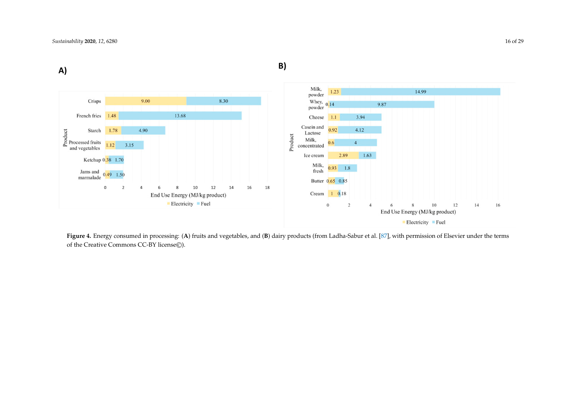

<span id="page-15-0"></span>**Figure 4.** Energy consumed in processing: (**A**) fruits and vegetables, and (**B**) dairy products (from Ladha-Sabur et al. [\[87\]](#page-25-23), with permission of Elsevier under the terms of the Creative Commons CC-BY license©).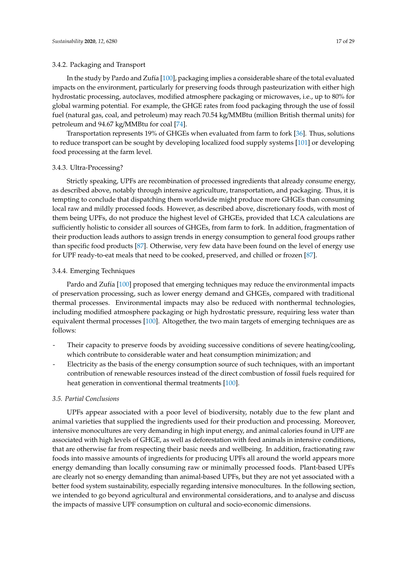## 3.4.2. Packaging and Transport

In the study by Pardo and Zufía [\[100\]](#page-26-7), packaging implies a considerable share of the total evaluated impacts on the environment, particularly for preserving foods through pasteurization with either high hydrostatic processing, autoclaves, modified atmosphere packaging or microwaves, i.e., up to 80% for global warming potential. For example, the GHGE rates from food packaging through the use of fossil fuel (natural gas, coal, and petroleum) may reach 70.54 kg/MMBtu (million British thermal units) for petroleum and 94.67 kg/MMBtu for coal [\[74\]](#page-25-4).

Transportation represents 19% of GHGEs when evaluated from farm to fork [\[36\]](#page-23-13). Thus, solutions to reduce transport can be sought by developing localized food supply systems [\[101\]](#page-26-8) or developing food processing at the farm level.

## 3.4.3. Ultra-Processing?

Strictly speaking, UPFs are recombination of processed ingredients that already consume energy, as described above, notably through intensive agriculture, transportation, and packaging. Thus, it is tempting to conclude that dispatching them worldwide might produce more GHGEs than consuming local raw and mildly processed foods. However, as described above, discretionary foods, with most of them being UPFs, do not produce the highest level of GHGEs, provided that LCA calculations are sufficiently holistic to consider all sources of GHGEs, from farm to fork. In addition, fragmentation of their production leads authors to assign trends in energy consumption to general food groups rather than specific food products [\[87\]](#page-25-17). Otherwise, very few data have been found on the level of energy use for UPF ready-to-eat meals that need to be cooked, preserved, and chilled or frozen [\[87\]](#page-25-17).

## 3.4.4. Emerging Techniques

Pardo and Zufía [\[100\]](#page-26-7) proposed that emerging techniques may reduce the environmental impacts of preservation processing, such as lower energy demand and GHGEs, compared with traditional thermal processes. Environmental impacts may also be reduced with nonthermal technologies, including modified atmosphere packaging or high hydrostatic pressure, requiring less water than equivalent thermal processes [\[100\]](#page-26-7). Altogether, the two main targets of emerging techniques are as follows:

- Their capacity to preserve foods by avoiding successive conditions of severe heating/cooling, which contribute to considerable water and heat consumption minimization; and
- Electricity as the basis of the energy consumption source of such techniques, with an important contribution of renewable resources instead of the direct combustion of fossil fuels required for heat generation in conventional thermal treatments [\[100\]](#page-26-7).

## *3.5. Partial Conclusions*

UPFs appear associated with a poor level of biodiversity, notably due to the few plant and animal varieties that supplied the ingredients used for their production and processing. Moreover, intensive monocultures are very demanding in high input energy, and animal calories found in UPF are associated with high levels of GHGE, as well as deforestation with feed animals in intensive conditions, that are otherwise far from respecting their basic needs and wellbeing. In addition, fractionating raw foods into massive amounts of ingredients for producing UPFs all around the world appears more energy demanding than locally consuming raw or minimally processed foods. Plant-based UPFs are clearly not so energy demanding than animal-based UPFs, but they are not yet associated with a better food system sustainability, especially regarding intensive monocultures. In the following section, we intended to go beyond agricultural and environmental considerations, and to analyse and discuss the impacts of massive UPF consumption on cultural and socio-economic dimensions.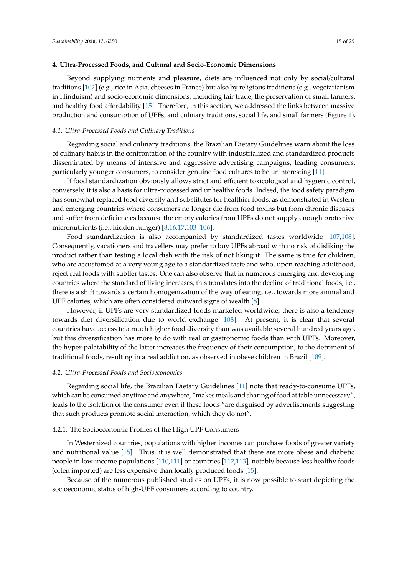<span id="page-17-0"></span>Beyond supplying nutrients and pleasure, diets are influenced not only by social/cultural traditions [\[102\]](#page-26-9) (e.g., rice in Asia, cheeses in France) but also by religious traditions (e.g., vegetarianism in Hinduism) and socio-economic dimensions, including fair trade, the preservation of small farmers, and healthy food affordability [\[15\]](#page-22-14). Therefore, in this section, we addressed the links between massive production and consumption of UPFs, and culinary traditions, social life, and small farmers (Figure [1\)](#page-2-0).

#### *4.1. Ultra-Processed Foods and Culinary Traditions*

Regarding social and culinary traditions, the Brazilian Dietary Guidelines warn about the loss of culinary habits in the confrontation of the country with industrialized and standardized products disseminated by means of intensive and aggressive advertising campaigns, leading consumers, particularly younger consumers, to consider genuine food cultures to be uninteresting [\[11\]](#page-22-9).

If food standardization obviously allows strict and efficient toxicological and hygienic control, conversely, it is also a basis for ultra-processed and unhealthy foods. Indeed, the food safety paradigm has somewhat replaced food diversity and substitutes for healthier foods, as demonstrated in Western and emerging countries where consumers no longer die from food toxins but from chronic diseases and suffer from deficiencies because the empty calories from UPFs do not supply enough protective micronutrients (i.e., hidden hunger) [\[8,](#page-22-7)[16,](#page-22-15)[17,](#page-22-16)[103](#page-26-10)[–106\]](#page-26-11).

Food standardization is also accompanied by standardized tastes worldwide [\[107,](#page-26-12)[108\]](#page-26-13). Consequently, vacationers and travellers may prefer to buy UPFs abroad with no risk of disliking the product rather than testing a local dish with the risk of not liking it. The same is true for children, who are accustomed at a very young age to a standardized taste and who, upon reaching adulthood, reject real foods with subtler tastes. One can also observe that in numerous emerging and developing countries where the standard of living increases, this translates into the decline of traditional foods, i.e., there is a shift towards a certain homogenization of the way of eating, i.e., towards more animal and UPF calories, which are often considered outward signs of wealth [\[8\]](#page-22-7).

However, if UPFs are very standardized foods marketed worldwide, there is also a tendency towards diet diversification due to world exchange [\[108\]](#page-26-13). At present, it is clear that several countries have access to a much higher food diversity than was available several hundred years ago, but this diversification has more to do with real or gastronomic foods than with UPFs. Moreover, the hyper-palatability of the latter increases the frequency of their consumption, to the detriment of traditional foods, resulting in a real addiction, as observed in obese children in Brazil [\[109\]](#page-26-14).

# *4.2. Ultra-Processed Foods and Socioeconomics*

Regarding social life, the Brazilian Dietary Guidelines [\[11\]](#page-22-9) note that ready-to-consume UPFs, which can be consumed anytime and anywhere, "makes meals and sharing of food at table unnecessary", leads to the isolation of the consumer even if these foods "are disguised by advertisements suggesting that such products promote social interaction, which they do not".

## 4.2.1. The Socioeconomic Profiles of the High UPF Consumers

In Westernized countries, populations with higher incomes can purchase foods of greater variety and nutritional value [\[15\]](#page-22-14). Thus, it is well demonstrated that there are more obese and diabetic people in low-income populations [\[110,](#page-26-15)[111\]](#page-26-16) or countries [\[112,](#page-26-17)[113\]](#page-26-18), notably because less healthy foods (often imported) are less expensive than locally produced foods [\[15\]](#page-22-14).

Because of the numerous published studies on UPFs, it is now possible to start depicting the socioeconomic status of high-UPF consumers according to country.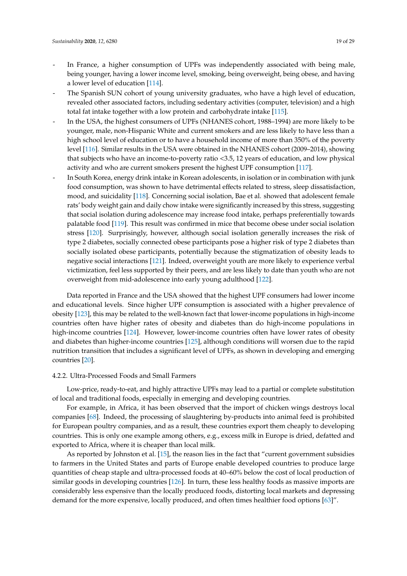- In France, a higher consumption of UPFs was independently associated with being male, being younger, having a lower income level, smoking, being overweight, being obese, and having a lower level of education [\[114\]](#page-26-19).
- The Spanish SUN cohort of young university graduates, who have a high level of education, revealed other associated factors, including sedentary activities (computer, television) and a high total fat intake together with a low protein and carbohydrate intake [\[115\]](#page-27-0).
- In the USA, the highest consumers of UPFs (NHANES cohort, 1988-1994) are more likely to be younger, male, non-Hispanic White and current smokers and are less likely to have less than a high school level of education or to have a household income of more than 350% of the poverty level [\[116\]](#page-27-1). Similar results in the USA were obtained in the NHANES cohort (2009–2014), showing that subjects who have an income-to-poverty ratio <3.5, 12 years of education, and low physical activity and who are current smokers present the highest UPF consumption [\[117\]](#page-27-2).
- In South Korea, energy drink intake in Korean adolescents, in isolation or in combination with junk food consumption, was shown to have detrimental effects related to stress, sleep dissatisfaction, mood, and suicidality [\[118\]](#page-27-3). Concerning social isolation, Bae et al. showed that adolescent female rats' body weight gain and daily chow intake were significantly increased by this stress, suggesting that social isolation during adolescence may increase food intake, perhaps preferentially towards palatable food [\[119\]](#page-27-4). This result was confirmed in mice that become obese under social isolation stress [\[120\]](#page-27-5). Surprisingly, however, although social isolation generally increases the risk of type 2 diabetes, socially connected obese participants pose a higher risk of type 2 diabetes than socially isolated obese participants, potentially because the stigmatization of obesity leads to negative social interactions [\[121\]](#page-27-6). Indeed, overweight youth are more likely to experience verbal victimization, feel less supported by their peers, and are less likely to date than youth who are not overweight from mid-adolescence into early young adulthood [\[122\]](#page-27-7).

Data reported in France and the USA showed that the highest UPF consumers had lower income and educational levels. Since higher UPF consumption is associated with a higher prevalence of obesity [\[123\]](#page-27-8), this may be related to the well-known fact that lower-income populations in high-income countries often have higher rates of obesity and diabetes than do high-income populations in high-income countries [\[124\]](#page-27-9). However, lower-income countries often have lower rates of obesity and diabetes than higher-income countries [\[125\]](#page-27-10), although conditions will worsen due to the rapid nutrition transition that includes a significant level of UPFs, as shown in developing and emerging countries [\[20\]](#page-22-18).

#### 4.2.2. Ultra-Processed Foods and Small Farmers

Low-price, ready-to-eat, and highly attractive UPFs may lead to a partial or complete substitution of local and traditional foods, especially in emerging and developing countries.

For example, in Africa, it has been observed that the import of chicken wings destroys local companies [\[68\]](#page-24-19). Indeed, the processing of slaughtering by-products into animal feed is prohibited for European poultry companies, and as a result, these countries export them cheaply to developing countries. This is only one example among others, e.g., excess milk in Europe is dried, defatted and exported to Africa, where it is cheaper than local milk.

As reported by Johnston et al. [\[15\]](#page-22-14), the reason lies in the fact that "current government subsidies to farmers in the United States and parts of Europe enable developed countries to produce large quantities of cheap staple and ultra-processed foods at 40–60% below the cost of local production of similar goods in developing countries [\[126\]](#page-27-11). In turn, these less healthy foods as massive imports are considerably less expensive than the locally produced foods, distorting local markets and depressing demand for the more expensive, locally produced, and often times healthier food options [\[63\]](#page-24-21)".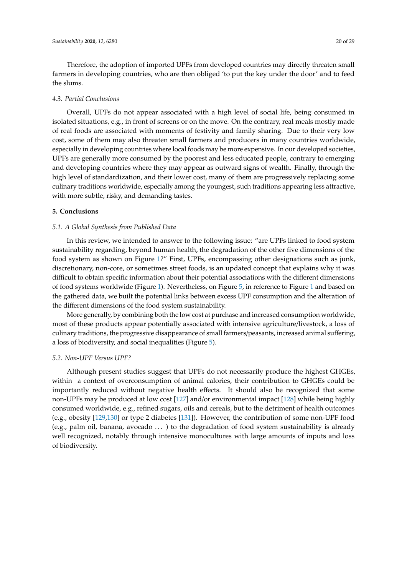Therefore, the adoption of imported UPFs from developed countries may directly threaten small farmers in developing countries, who are then obliged 'to put the key under the door' and to feed the slums.

## *4.3. Partial Conclusions*

Overall, UPFs do not appear associated with a high level of social life, being consumed in isolated situations, e.g., in front of screens or on the move. On the contrary, real meals mostly made of real foods are associated with moments of festivity and family sharing. Due to their very low cost, some of them may also threaten small farmers and producers in many countries worldwide, especially in developing countries where local foods may be more expensive. In our developed societies, UPFs are generally more consumed by the poorest and less educated people, contrary to emerging and developing countries where they may appear as outward signs of wealth. Finally, through the high level of standardization, and their lower cost, many of them are progressively replacing some culinary traditions worldwide, especially among the youngest, such traditions appearing less attractive, with more subtle, risky, and demanding tastes.

## **5. Conclusions**

## *5.1. A Global Synthesis from Published Data*

In this review, we intended to answer to the following issue: "are UPFs linked to food system sustainability regarding, beyond human health, the degradation of the other five dimensions of the food system as shown on Figure [1?](#page-2-0)" First, UPFs, encompassing other designations such as junk, discretionary, non-core, or sometimes street foods, is an updated concept that explains why it was difficult to obtain specific information about their potential associations with the different dimensions of food systems worldwide (Figure [1\)](#page-2-0). Nevertheless, on Figure [5,](#page-20-0) in reference to Figure [1](#page-2-0) and based on the gathered data, we built the potential links between excess UPF consumption and the alteration of the different dimensions of the food system sustainability.

More generally, by combining both the low cost at purchase and increased consumption worldwide, most of these products appear potentially associated with intensive agriculture/livestock, a loss of culinary traditions, the progressive disappearance of small farmers/peasants, increased animal suffering, a loss of biodiversity, and social inequalities (Figure [5\)](#page-20-0).

## *5.2. Non-UPF Versus UPF?*

Although present studies suggest that UPFs do not necessarily produce the highest GHGEs, within a context of overconsumption of animal calories, their contribution to GHGEs could be importantly reduced without negative health effects. It should also be recognized that some non-UPFs may be produced at low cost [\[127\]](#page-27-12) and/or environmental impact [\[128\]](#page-27-13) while being highly consumed worldwide, e.g., refined sugars, oils and cereals, but to the detriment of health outcomes (e.g., obesity [\[129,](#page-27-14)[130\]](#page-27-15) or type 2 diabetes [\[131\]](#page-27-16)). However, the contribution of some non-UPF food (e.g., palm oil, banana, avocado . . . ) to the degradation of food system sustainability is already well recognized, notably through intensive monocultures with large amounts of inputs and loss of biodiversity.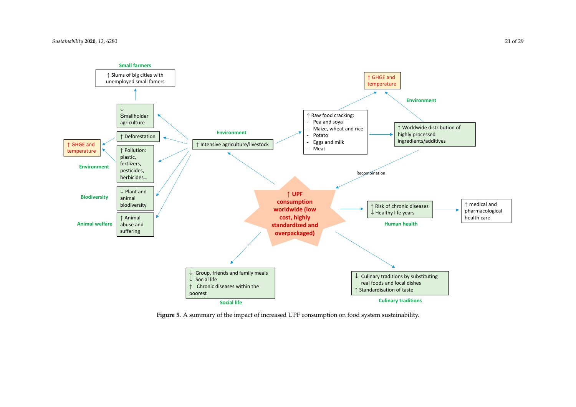

<span id="page-20-0"></span>**Figure 5.** A summary of the impact of increased UPF consumption on food system sustainability.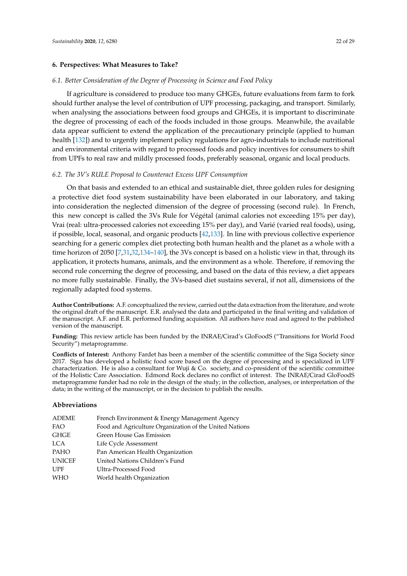## **6. Perspectives: What Measures to Take?**

## *6.1. Better Consideration of the Degree of Processing in Science and Food Policy*

If agriculture is considered to produce too many GHGEs, future evaluations from farm to fork should further analyse the level of contribution of UPF processing, packaging, and transport. Similarly, when analysing the associations between food groups and GHGEs, it is important to discriminate the degree of processing of each of the foods included in those groups. Meanwhile, the available data appear sufficient to extend the application of the precautionary principle (applied to human health [\[132\]](#page-27-17)) and to urgently implement policy regulations for agro-industrials to include nutritional and environmental criteria with regard to processed foods and policy incentives for consumers to shift from UPFs to real raw and mildly processed foods, preferably seasonal, organic and local products.

## *6.2. The 3V's RULE Proposal to Counteract Excess UPF Consumption*

On that basis and extended to an ethical and sustainable diet, three golden rules for designing a protective diet food system sustainability have been elaborated in our laboratory, and taking into consideration the neglected dimension of the degree of processing (second rule). In French, this new concept is called the 3Vs Rule for Végétal (animal calories not exceeding 15% per day), Vrai (real: ultra-processed calories not exceeding 15% per day), and Varié (varied real foods), using, if possible, local, seasonal, and organic products [\[42,](#page-23-19)[133\]](#page-27-18). In line with previous collective experience searching for a generic complex diet protecting both human health and the planet as a whole with a time horizon of 2050 [\[7](#page-22-6)[,31](#page-23-7)[,32](#page-23-8)[,134–](#page-27-19)[140\]](#page-28-0), the 3Vs concept is based on a holistic view in that, through its application, it protects humans, animals, and the environment as a whole. Therefore, if removing the second rule concerning the degree of processing, and based on the data of this review, a diet appears no more fully sustainable. Finally, the 3Vs-based diet sustains several, if not all, dimensions of the regionally adapted food systems.

**Author Contributions:** A.F. conceptualized the review, carried out the data extraction from the literature, and wrote the original draft of the manuscript. E.R. analysed the data and participated in the final writing and validation of the manuscript. A.F. and E.R. performed funding acquisition. All authors have read and agreed to the published version of the manuscript.

**Funding:** This review article has been funded by the INRAE/Cirad's GloFoodS ("Transitions for World Food Security") metaprogramme.

**Conflicts of Interest:** Anthony Fardet has been a member of the scientific committee of the Siga Society since 2017. Siga has developed a holistic food score based on the degree of processing and is specialized in UPF characterization. He is also a consultant for Wuji & Co. society, and co-president of the scientific committee of the Holistic Care Association. Edmond Rock declares no conflict of interest. The INRAE/Cirad GloFoodS metaprogramme funder had no role in the design of the study; in the collection, analyses, or interpretation of the data; in the writing of the manuscript, or in the decision to publish the results.

#### **Abbreviations**

| ADEME         | French Environment & Energy Management Agency           |
|---------------|---------------------------------------------------------|
| FAO           | Food and Agriculture Organization of the United Nations |
| GHGE          | Green House Gas Emission                                |
| LCA           | Life Cycle Assessment                                   |
| PAHO          | Pan American Health Organization                        |
| <b>UNICEF</b> | United Nations Children's Fund                          |
| UPF           | Ultra-Processed Food                                    |
| WHO           | World health Organization                               |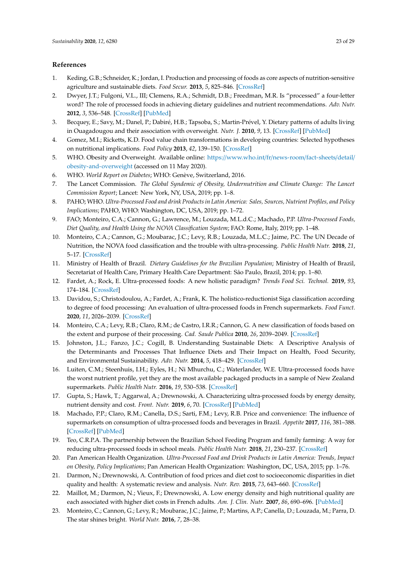# <span id="page-22-22"></span>**References**

- <span id="page-22-0"></span>1. Keding, G.B.; Schneider, K.; Jordan, I. Production and processing of foods as core aspects of nutrition-sensitive agriculture and sustainable diets. *Food Secur.* **2013**, *5*, 825–846. [\[CrossRef\]](http://dx.doi.org/10.1007/s12571-013-0312-6)
- <span id="page-22-1"></span>2. Dwyer, J.T.; Fulgoni, V.L., III; Clemens, R.A.; Schmidt, D.B.; Freedman, M.R. Is "processed" a four-letter word? The role of processed foods in achieving dietary guidelines and nutrient recommendations. *Adv. Nutr.* **2012**, *3*, 536–548. [\[CrossRef\]](http://dx.doi.org/10.3945/an.111.000901) [\[PubMed\]](http://www.ncbi.nlm.nih.gov/pubmed/22797990)
- <span id="page-22-2"></span>3. Becquey, E.; Savy, M.; Danel, P.; Dabiré, H.B.; Tapsoba, S.; Martin-Prével, Y. Dietary patterns of adults living in Ouagadougou and their association with overweight. *Nutr. J.* **2010**, *9*, 13. [\[CrossRef\]](http://dx.doi.org/10.1186/1475-2891-9-13) [\[PubMed\]](http://www.ncbi.nlm.nih.gov/pubmed/20307296)
- <span id="page-22-3"></span>4. Gomez, M.I.; Ricketts, K.D. Food value chain transformations in developing countries: Selected hypotheses on nutritional implications. *Food Policy* **2013**, *42*, 139–150. [\[CrossRef\]](http://dx.doi.org/10.1016/j.foodpol.2013.06.010)
- <span id="page-22-4"></span>5. WHO. Obesity and Overweight. Available online: https://[www.who.int](https://www.who.int/fr/news-room/fact-sheets/detail/obesity-and-overweight)/fr/news-room/fact-sheets/detail/ [obesity-and-overweight](https://www.who.int/fr/news-room/fact-sheets/detail/obesity-and-overweight) (accessed on 11 May 2020).
- <span id="page-22-5"></span>6. WHO. *World Report on Diabetes*; WHO: Genève, Switzerland, 2016.
- <span id="page-22-6"></span>7. The Lancet Commission. *The Global Syndemic of Obesity, Undernutrition and Climate Change: The Lancet Commission Report*; Lancet: New York, NY, USA, 2019; pp. 1–8.
- <span id="page-22-7"></span>8. PAHO; WHO. *Ultra-Processed Food and drink Products in Latin America: Sales, Sources, Nutrient Profiles, and Policy Implications*; PAHO, WHO: Washington, DC, USA, 2019; pp. 1–72.
- <span id="page-22-13"></span>9. FAO; Monteiro, C.A.; Cannon, G.; Lawrence, M.; Louzada, M.L.d.C.; Machado, P.P. *Ultra-Processed Foods, Diet Quality, and Health Using the NOVA Classification System*; FAO: Rome, Italy, 2019; pp. 1–48.
- <span id="page-22-8"></span>10. Monteiro, C.A.; Cannon, G.; Moubarac, J.C.; Levy, R.B.; Louzada, M.L.C.; Jaime, P.C. The UN Decade of Nutrition, the NOVA food classification and the trouble with ultra-processing. *Public Health Nutr.* **2018**, *21*, 5–17. [\[CrossRef\]](http://dx.doi.org/10.1017/S1368980017000234)
- <span id="page-22-9"></span>11. Ministry of Health of Brazil. *Dietary Guidelines for the Brazilian Population*; Ministry of Health of Brazil, Secretariat of Health Care, Primary Health Care Department: São Paulo, Brazil, 2014; pp. 1–80.
- <span id="page-22-11"></span>12. Fardet, A.; Rock, E. Ultra-processed foods: A new holistic paradigm? *Trends Food Sci. Technol.* **2019**, *93*, 174–184. [\[CrossRef\]](http://dx.doi.org/10.1016/j.tifs.2019.09.016)
- <span id="page-22-10"></span>13. Davidou, S.; Christodoulou, A.; Fardet, A.; Frank, K. The holistico-reductionist Siga classification according to degree of food processing: An evaluation of ultra-processed foods in French supermarkets. *Food Funct.* **2020**, *11*, 2026–2039. [\[CrossRef\]](http://dx.doi.org/10.1039/C9FO02271F)
- <span id="page-22-12"></span>14. Monteiro, C.A.; Levy, R.B.; Claro, R.M.; de Castro, I.R.R.; Cannon, G. A new classification of foods based on the extent and purpose of their processing. *Cad. Saude Publica* **2010**, *26*, 2039–2049. [\[CrossRef\]](http://dx.doi.org/10.1590/S0102-311X2010001100005)
- <span id="page-22-14"></span>15. Johnston, J.L.; Fanzo, J.C.; Cogill, B. Understanding Sustainable Diets: A Descriptive Analysis of the Determinants and Processes That Influence Diets and Their Impact on Health, Food Security, and Environmental Sustainability. *Adv. Nutr.* **2014**, *5*, 418–429. [\[CrossRef\]](http://dx.doi.org/10.3945/an.113.005553)
- <span id="page-22-15"></span>16. Luiten, C.M.; Steenhuis, I.H.; Eyles, H.; Ni Mhurchu, C.; Waterlander, W.E. Ultra-processed foods have the worst nutrient profile, yet they are the most available packaged products in a sample of New Zealand supermarkets. *Public Health Nutr.* **2016**, *19*, 530–538. [\[CrossRef\]](http://dx.doi.org/10.1017/S1368980015002177)
- <span id="page-22-16"></span>17. Gupta, S.; Hawk, T.; Aggarwal, A.; Drewnowski, A. Characterizing ultra-processed foods by energy density, nutrient density and cost. *Front. Nutr.* **2019**, *6*, 70. [\[CrossRef\]](http://dx.doi.org/10.3389/fnut.2019.00070) [\[PubMed\]](http://www.ncbi.nlm.nih.gov/pubmed/31231655)
- 18. Machado, P.P.; Claro, R.M.; Canella, D.S.; Sarti, F.M.; Levy, R.B. Price and convenience: The influence of supermarkets on consumption of ultra-processed foods and beverages in Brazil. *Appetite* **2017**, *116*, 381–388. [\[CrossRef\]](http://dx.doi.org/10.1016/j.appet.2017.05.027) [\[PubMed\]](http://www.ncbi.nlm.nih.gov/pubmed/28526478)
- <span id="page-22-17"></span>19. Teo, C.R.P.A. The partnership between the Brazilian School Feeding Program and family farming: A way for reducing ultra-processed foods in school meals. *Public Health Nutr.* **2018**, *21*, 230–237. [\[CrossRef\]](http://dx.doi.org/10.1017/S1368980017002117)
- <span id="page-22-18"></span>20. Pan American Health Organization. *Ultra-Processed Food and Drink Products in Latin America: Trends, Impact on Obesity, Policy Implications*; Pan American Health Organization: Washington, DC, USA, 2015; pp. 1–76.
- <span id="page-22-19"></span>21. Darmon, N.; Drewnowski, A. Contribution of food prices and diet cost to socioeconomic disparities in diet quality and health: A systematic review and analysis. *Nutr. Rev.* **2015**, *73*, 643–660. [\[CrossRef\]](http://dx.doi.org/10.1093/nutrit/nuv027)
- <span id="page-22-20"></span>22. Maillot, M.; Darmon, N.; Vieux, F.; Drewnowski, A. Low energy density and high nutritional quality are each associated with higher diet costs in French adults. *Am. J. Clin. Nutr.* **2007**, *86*, 690–696. [\[PubMed\]](http://www.ncbi.nlm.nih.gov/pubmed/17823434)
- <span id="page-22-21"></span>23. Monteiro, C.; Cannon, G.; Levy, R.; Moubarac, J.C.; Jaime, P.; Martins, A.P.; Canella, D.; Louzada, M.; Parra, D. The star shines bright. *World Nutr.* **2016**, *7*, 28–38.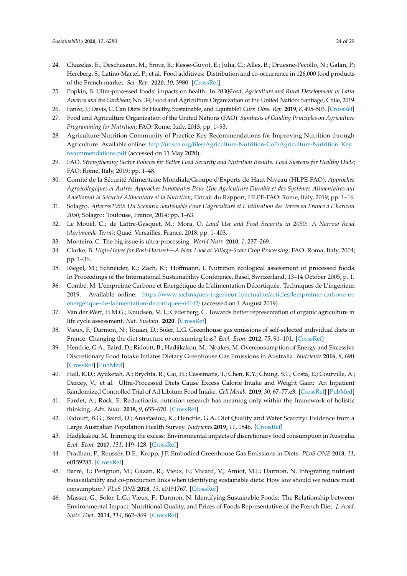- <span id="page-23-12"></span><span id="page-23-0"></span>24. Chazelas, E.; Deschasaux, M.; Srour, B.; Kesse-Guyot, E.; Julia, C.; Alles, B.; Druesne-Pecollo, N.; Galan, P.; Hercberg, S.; Latino-Martel, P.; et al. Food additives: Distribution and co-occurrence in 126,000 food products of the French market. *Sci. Rep.* **2020**, *10*, 3980. [\[CrossRef\]](http://dx.doi.org/10.1038/s41598-020-60948-w)
- <span id="page-23-1"></span>25. Popkin, B. Ultra-processed foods' impacts on health. In *2030*/*Food, Agriculture and Rural Development in Latin America and the Caribbean*; No. 34; Food and Agriculture Organization of the United Nation: Santiago, Chile, 2019.
- <span id="page-23-2"></span>26. Fanzo, J.; Davis, C. Can Diets Be Healthy, Sustainable, and Equitable? *Curr. Obes. Rep.* **2019**, *8*, 495–503. [\[CrossRef\]](http://dx.doi.org/10.1007/s13679-019-00362-0)
- <span id="page-23-3"></span>27. Food and Agriculture Organization of the United Nations (FAO). *Synthesis of Guiding Principles on Agriculture Programming for Nutrition*; FAO: Rome, Italy, 2013; pp. 1–93.
- <span id="page-23-4"></span>28. Agriculture-Nutrition Community of Practice Key Recommendations for Improving Nutrition through Agriculture. Available online: http://unscn.org/files/Agriculture-Nutrition-CoP/[Agriculture-Nutrition\\_Key\\_](http://unscn.org/files/Agriculture-Nutrition-CoP/Agriculture-Nutrition_Key_recommendations.pdf) [recommendations.pdf](http://unscn.org/files/Agriculture-Nutrition-CoP/Agriculture-Nutrition_Key_recommendations.pdf) (accessed on 11 May 2020).
- <span id="page-23-5"></span>29. FAO. *Strengthening Sector Policies for Better Food Security and Nutrition Results. Food Systems for Healthy Diets*; FAO: Rome, Italy, 2019; pp. 1–48.
- <span id="page-23-6"></span>30. Comité de la Sécurité Alimentaire Mondiale/Groupe d'Experts de Haut Niveau (HLPE-FAO). *Approches Agroécologiques et Autres Approches Innovantes Pour Une Agriculture Durable et des Systèmes Alimentaires qui Améliorent la Sécurité Alimentaire et la Nutrition*; Extrait du Rapport; HLPE-FAO: Rome, Italy, 2019; pp. 1–16.
- <span id="page-23-7"></span>31. Solagro. *Afterres2050: Un Scénario Soutenable Pour L'agriculture et L'utilisation des Terres en France à L'horizon 2050*; Solagro: Toulouse, France, 2014; pp. 1–63.
- <span id="page-23-8"></span>32. Le Mouël, C.; de Lattre-Gasquet, M.; Mora, O. *Land Use and Food Security in 2050: A Narrow Road (Agrimonde-Terra)*; Quaé: Versailles, France, 2018; pp. 1–403.
- <span id="page-23-9"></span>33. Monteiro, C. The big issue is ultra-processing. *World Nutr.* **2010**, *1*, 237–269.
- <span id="page-23-10"></span>34. Clarke, B. *High-Hopes for Post-Harvest—A New Look at Village-Scale Crop Processing*; FAO: Roma, Italy, 2004; pp. 1–36.
- <span id="page-23-11"></span>35. Riegel, M.; Schneider, K.; Zach, K.; Hoffmann, I. Nutrition ecological assessment of processed foods. In Proceedings of the International Sustainability Conference, Basel, Switzerland, 13–14 October 2005; p. 1.
- <span id="page-23-13"></span>36. Combe, M. L'empreinte Carbone et Energétique de L'alimentation Décortiquée. Techniques de L'ingenieur. 2019. Available online: https://[www.techniques-ingenieur.fr](https://www.techniques-ingenieur.fr/actualite/articles/lempreinte-carbone-et-energetique-de-lalimentation-decortiquee-64142/)/actualite/articles/lempreinte-carbone-et[energetique-de-lalimentation-decortiquee-64142](https://www.techniques-ingenieur.fr/actualite/articles/lempreinte-carbone-et-energetique-de-lalimentation-decortiquee-64142/)/ (accessed on 1 August 2019).
- <span id="page-23-14"></span>37. Van der Werf, H.M.G.; Knudsen, M.T.; Cederberg, C. Towards better representation of organic agriculture in life cycle assessment. *Nat. Sustain.* **2020**. [\[CrossRef\]](http://dx.doi.org/10.1038/s41893-020-0489-6)
- <span id="page-23-15"></span>38. Vieux, F.; Darmon, N.; Touazi, D.; Soler, L.G. Greenhouse gas emissions of self-selected individual diets in France: Changing the diet structure or consuming less? *Ecol. Econ.* **2012**, *75*, 91–101. [\[CrossRef\]](http://dx.doi.org/10.1016/j.ecolecon.2012.01.003)
- <span id="page-23-16"></span>39. Hendrie, G.A.; Baird, D.; Ridoutt, B.; Hadjikakou, M.; Noakes, M. Overconsumption of Energy and Excessive Discretionary Food Intake Inflates Dietary Greenhouse Gas Emissions in Australia. *Nutrients* **2016**, *8*, 690. [\[CrossRef\]](http://dx.doi.org/10.3390/nu8110690) [\[PubMed\]](http://www.ncbi.nlm.nih.gov/pubmed/27809233)
- <span id="page-23-17"></span>40. Hall, K.D.; Ayuketah, A.; Brychta, R.; Cai, H.; Cassimatis, T.; Chen, K.Y.; Chung, S.T.; Costa, E.; Courville, A.; Darcey, V.; et al. Ultra-Processed Diets Cause Excess Calorie Intake and Weight Gain: An Inpatient Randomized Controlled Trial of Ad Libitum Food Intake. *Cell Metab.* **2019**, *30*, 67–77.e3. [\[CrossRef\]](http://dx.doi.org/10.1016/j.cmet.2019.05.008) [\[PubMed\]](http://www.ncbi.nlm.nih.gov/pubmed/31105044)
- <span id="page-23-18"></span>41. Fardet, A.; Rock, E. Reductionist nutrition research has meaning only within the framework of holistic thinking. *Adv. Nutr.* **2018**, *9*, 655–670. [\[CrossRef\]](http://dx.doi.org/10.1093/advances/nmy044)
- <span id="page-23-19"></span>42. Ridoutt, B.G.; Baird, D.; Anastasiou, K.; Hendrie, G.A. Diet Quality and Water Scarcity: Evidence from a Large Australian Population Health Survey. *Nutrients* **2019**, *11*, 1846. [\[CrossRef\]](http://dx.doi.org/10.3390/nu11081846)
- <span id="page-23-20"></span>43. Hadjikakou, M. Trimming the excess: Environmental impacts of discretionary food consumption in Australia. *Ecol. Econ.* **2017**, *131*, 119–128. [\[CrossRef\]](http://dx.doi.org/10.1016/j.ecolecon.2016.08.006)
- <span id="page-23-21"></span>44. Pradhan, P.; Reusser, D.E.; Kropp, J.P. Embodied Greenhouse Gas Emissions in Diets. *PLoS ONE* **2013**, *11*, e0159285. [\[CrossRef\]](http://dx.doi.org/10.1371/journal.pone.0062228)
- <span id="page-23-22"></span>45. Barré, T.; Perignon, M.; Gazan, R.; Vieux, F.; Micard, V.; Amiot, M.J.; Darmon, N. Integrating nutrient bioavailability and co-production links when identifying sustainable diets: How low should we reduce meat consumption? *PLoS ONE* **2018**, *13*, e0191767. [\[CrossRef\]](http://dx.doi.org/10.1371/journal.pone.0191767)
- <span id="page-23-23"></span>46. Masset, G.; Soler, L.G.; Vieux, F.; Darmon, N. Identifying Sustainable Foods: The Relationship between Environmental Impact, Nutritional Quality, and Prices of Foods Representative of the French Diet. *J. Acad. Nutr. Diet.* **2014**, *114*, 862–869. [\[CrossRef\]](http://dx.doi.org/10.1016/j.jand.2014.02.002)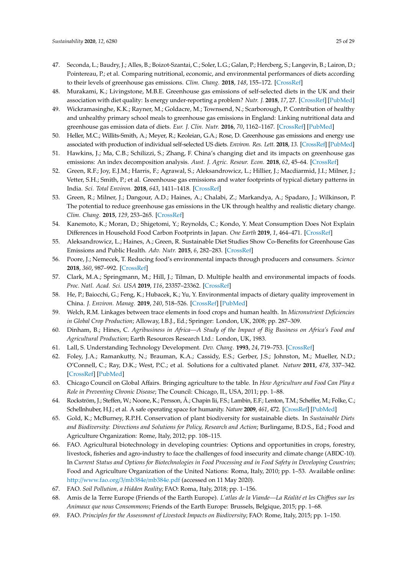- <span id="page-24-0"></span>47. Seconda, L.; Baudry, J.; Alles, B.; Boizot-Szantai, C.; Soler, L.G.; Galan, P.; Hercberg, S.; Langevin, B.; Lairon, D.; Pointereau, P.; et al. Comparing nutritional, economic, and environmental performances of diets according to their levels of greenhouse gas emissions. *Clim. Chang.* **2018**, *148*, 155–172. [\[CrossRef\]](http://dx.doi.org/10.1007/s10584-018-2195-1)
- <span id="page-24-1"></span>48. Murakami, K.; Livingstone, M.B.E. Greenhouse gas emissions of self-selected diets in the UK and their association with diet quality: Is energy under-reporting a problem? *Nutr. J.* **2018**, *17*, 27. [\[CrossRef\]](http://dx.doi.org/10.1186/s12937-018-0338-x) [\[PubMed\]](http://www.ncbi.nlm.nih.gov/pubmed/29466993)
- <span id="page-24-2"></span>49. Wickramasinghe, K.K.; Rayner, M.; Goldacre, M.; Townsend, N.; Scarborough, P. Contribution of healthy and unhealthy primary school meals to greenhouse gas emissions in England: Linking nutritional data and greenhouse gas emission data of diets. *Eur. J. Clin. Nutr.* **2016**, *70*, 1162–1167. [\[CrossRef\]](http://dx.doi.org/10.1038/ejcn.2016.101) [\[PubMed\]](http://www.ncbi.nlm.nih.gov/pubmed/27329613)
- <span id="page-24-3"></span>50. Heller, M.C.; Willits-Smith, A.; Meyer, R.; Keoleian, G.A.; Rose, D. Greenhouse gas emissions and energy use associated with production of individual self-selected US diets. *Environ. Res. Lett.* **2018**, *13*. [\[CrossRef\]](http://dx.doi.org/10.1088/1748-9326/aab0ac) [\[PubMed\]](http://www.ncbi.nlm.nih.gov/pubmed/29853988)
- <span id="page-24-4"></span>51. Hawkins, J.; Ma, C.B.; Schilizzi, S.; Zhang, F. China's changing diet and its impacts on greenhouse gas emissions: An index decomposition analysis. *Aust. J. Agric. Resour. Econ.* **2018**, *62*, 45–64. [\[CrossRef\]](http://dx.doi.org/10.1111/1467-8489.12240)
- <span id="page-24-5"></span>52. Green, R.F.; Joy, E.J.M.; Harris, F.; Agrawal, S.; Aleksandrowicz, L.; Hillier, J.; Macdiarmid, J.I.; Milner, J.; Vetter, S.H.; Smith, P.; et al. Greenhouse gas emissions and water footprints of typical dietary patterns in India. *Sci. Total Environ.* **2018**, *643*, 1411–1418. [\[CrossRef\]](http://dx.doi.org/10.1016/j.scitotenv.2018.06.258)
- <span id="page-24-6"></span>53. Green, R.; Milner, J.; Dangour, A.D.; Haines, A.; Chalabi, Z.; Markandya, A.; Spadaro, J.; Wilkinson, P. The potential to reduce greenhouse gas emissions in the UK through healthy and realistic dietary change. *Clim. Chang.* **2015**, *129*, 253–265. [\[CrossRef\]](http://dx.doi.org/10.1007/s10584-015-1329-y)
- <span id="page-24-7"></span>54. Kanemoto, K.; Moran, D.; Shigetomi, Y.; Reynolds, C.; Kondo, Y. Meat Consumption Does Not Explain Differences in Household Food Carbon Footprints in Japan. *One Earth* **2019**, *1*, 464–471. [\[CrossRef\]](http://dx.doi.org/10.1016/j.oneear.2019.12.004)
- <span id="page-24-8"></span>55. Aleksandrowicz, L.; Haines, A.; Green, R. Sustainable Diet Studies Show Co-Benefits for Greenhouse Gas Emissions and Public Health. *Adv. Nutr.* **2015**, *6*, 282–283. [\[CrossRef\]](http://dx.doi.org/10.3945/an.115.008466)
- <span id="page-24-9"></span>56. Poore, J.; Nemecek, T. Reducing food's environmental impacts through producers and consumers. *Science* **2018**, *360*, 987–992. [\[CrossRef\]](http://dx.doi.org/10.1126/science.aaq0216)
- <span id="page-24-10"></span>57. Clark, M.A.; Springmann, M.; Hill, J.; Tilman, D. Multiple health and environmental impacts of foods. *Proc. Natl. Acad. Sci. USA* **2019**, *116*, 23357–23362. [\[CrossRef\]](http://dx.doi.org/10.1073/pnas.1906908116)
- <span id="page-24-11"></span>58. He, P.; Baiocchi, G.; Feng, K.; Hubacek, K.; Yu, Y. Environmental impacts of dietary quality improvement in China. *J. Environ. Manag.* **2019**, *240*, 518–526. [\[CrossRef\]](http://dx.doi.org/10.1016/j.jenvman.2019.03.106) [\[PubMed\]](http://www.ncbi.nlm.nih.gov/pubmed/30999146)
- <span id="page-24-12"></span>59. Welch, R.M. Linkages between trace elements in food crops and human health. In *Micronutrient Deficiencies in Global Crop Production*; Alloway, I.B.J., Ed.; Springer: London, UK, 2008; pp. 287–309.
- <span id="page-24-13"></span>60. Dinham, B.; Hines, C. *Agribusiness in Africa—A Study of the Impact of Big Business on Africa's Food and Agricultural Production*; Earth Resources Research Ltd.: London, UK, 1983.
- <span id="page-24-14"></span>61. Lall, S. Understanding Technology Development. *Dev. Chang.* **1993**, *24*, 719–753. [\[CrossRef\]](http://dx.doi.org/10.1111/j.1467-7660.1993.tb00502.x)
- <span id="page-24-15"></span>62. Foley, J.A.; Ramankutty, N.; Brauman, K.A.; Cassidy, E.S.; Gerber, J.S.; Johnston, M.; Mueller, N.D.; O'Connell, C.; Ray, D.K.; West, P.C.; et al. Solutions for a cultivated planet. *Nature* **2011**, *478*, 337–342. [\[CrossRef\]](http://dx.doi.org/10.1038/nature10452) [\[PubMed\]](http://www.ncbi.nlm.nih.gov/pubmed/21993620)
- <span id="page-24-21"></span>63. Chicago Council on Global Affairs. Bringing agriculture to the table. In *How Agriculture and Food Can Play a Role in Preventing Chronic Disease*; The Council: Chicago, IL, USA, 2011; pp. 1–88.
- 64. Rockström, J.; Steffen, W.; Noone, K.; Persson, Å.; Chapin Iii, F.S.; Lambin, E.F.; Lenton, T.M.; Scheffer, M.; Folke, C.; Schellnhuber, H.J.; et al. A safe operating space for humanity. *Nature* **2009**, *461*, 472. [\[CrossRef\]](http://dx.doi.org/10.1038/461472a) [\[PubMed\]](http://www.ncbi.nlm.nih.gov/pubmed/19779433)
- <span id="page-24-16"></span>65. Gold, K.; McBurney, R.P.H. Conservation of plant biodiversity for sustainable diets. In *Sustainable Diets* and Biodiversity: Directions and Solutions for Policy, Research and Action; Burlingame, B.D.S., Ed.; Food and Agriculture Organization: Rome, Italy, 2012; pp. 108–115.
- <span id="page-24-17"></span>66. FAO. Agricultural biotechnology in developing countries: Options and opportunities in crops, forestry, livestock, fisheries and agro-industry to face the challenges of food insecurity and climate change (ABDC-10). In *Current Status and Options for Biotechnologies in Food Processing and in Food Safety in Developing Countries*; Food and Agriculture Organization of the United Nations: Roma, Italy, 2010; pp. 1–53. Available online: http://[www.fao.org](http://www.fao.org/3/mb384e/mb384e.pdf)/3/mb384e/mb384e.pdf (accessed on 11 May 2020).
- <span id="page-24-18"></span>67. FAO. *Soil Pollution, a Hidden Reality*; FAO: Roma, Italy, 2018; pp. 1–156.
- <span id="page-24-19"></span>68. Amis de la Terre Europe (Friends of the Earth Europe). *L'atlas de la Viande—La Réalité et les Chi*ff*res sur les Animaux que nous Consommons*; Friends of the Earth Europe: Brussels, Belgique, 2015; pp. 1–68.
- <span id="page-24-20"></span>69. FAO. *Principles for the Assessment of Livestock Impacts on Biodiversity*; FAO: Rome, Italy, 2015; pp. 1–150.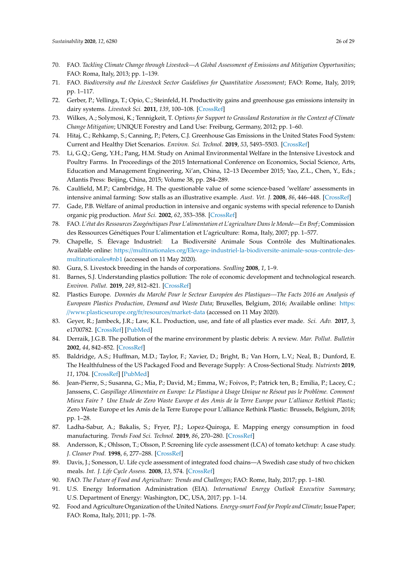- <span id="page-25-0"></span>70. FAO. *Tackling Climate Change through Livestock—A Global Assessment of Emissions and Mitigation Opportunities*; FAO: Roma, Italy, 2013; pp. 1–139.
- <span id="page-25-1"></span>71. FAO. *Biodiversity and the Livestock Sector Guidelines for Quantitative Assessment*; FAO: Rome, Italy, 2019; pp. 1–117.
- <span id="page-25-2"></span>72. Gerber, P.; Vellinga, T.; Opio, C.; Steinfeld, H. Productivity gains and greenhouse gas emissions intensity in dairy systems. *Livestock Sci.* **2011**, *139*, 100–108. [\[CrossRef\]](http://dx.doi.org/10.1016/j.livsci.2011.03.012)
- <span id="page-25-3"></span>73. Wilkes, A.; Solymosi, K.; Tennigkeit, T. *Options for Support to Grassland Restoration in the Context of Climate Change Mitigation*; UNIQUE Forestry and Land Use: Freiburg, Germany, 2012; pp. 1–60.
- <span id="page-25-4"></span>74. Hitaj, C.; Rehkamp, S.; Canning, P.; Peters, C.J. Greenhouse Gas Emissions in the United States Food System: Current and Healthy Diet Scenarios. *Environ. Sci. Technol.* **2019**, *53*, 5493–5503. [\[CrossRef\]](http://dx.doi.org/10.1021/acs.est.8b06828)
- <span id="page-25-5"></span>75. Li, G.Q.; Geng, Y.H.; Pang, H.M. Study on Animal Environmental Welfare in the Intensive Livestock and Poultry Farms. In Proceedings of the 2015 International Conference on Economics, Social Science, Arts, Education and Management Engineering, Xi'an, China, 12–13 December 2015; Yao, Z.L., Chen, Y., Eds.; Atlantis Press: Beijing, China, 2015; Volume 38, pp. 284–289.
- <span id="page-25-6"></span>76. Caulfield, M.P.; Cambridge, H. The questionable value of some science-based 'welfare' assessments in intensive animal farming: Sow stalls as an illustrative example. *Aust. Vet. J.* **2008**, *86*, 446–448. [\[CrossRef\]](http://dx.doi.org/10.1111/j.1751-0813.2008.00338.x)
- <span id="page-25-7"></span>77. Gade, P.B. Welfare of animal production in intensive and organic systems with special reference to Danish organic pig production. *Meat Sci.* **2002**, *62*, 353–358. [\[CrossRef\]](http://dx.doi.org/10.1016/S0309-1740(02)00123-7)
- <span id="page-25-8"></span>78. FAO. *L'état des Ressources Zoogénétiques Pour L'alimentation et L'agriculture Dans le Monde—En Bref*; Commission des Ressources Génétiques Pour L'alimentation et L'agriculture: Roma, Italy, 2007; pp. 1–577.
- <span id="page-25-23"></span><span id="page-25-9"></span>79. Chapelle, S. Élevage Industriel: La Biodiversité Animale Sous Contrôle des Multinationales. Available online: https://multinationales.org/[Elevage-industriel-la-biodiversite-animale-sous-controle-des](https://multinationales.org/Elevage-industriel-la-biodiversite-animale-sous-controle-des-multinationales#nb1)[multinationales#nb1](https://multinationales.org/Elevage-industriel-la-biodiversite-animale-sous-controle-des-multinationales#nb1) (accessed on 11 May 2020).
- <span id="page-25-10"></span>80. Gura, S. Livestock breeding in the hands of corporations. *Seedling* **2008**, *1*, 1–9.
- <span id="page-25-11"></span>81. Barnes, S.J. Understanding plastics pollution: The role of economic development and technological research. *Environ. Pollut.* **2019**, *249*, 812–821. [\[CrossRef\]](http://dx.doi.org/10.1016/j.envpol.2019.03.108)
- <span id="page-25-12"></span>82. Plastics Europe. *Données du Marché Pour le Secteur Européen des Plastiques—The Facts 2016 an Analysis of European Plastics Production, Demand and Waste Data*; Bruxelles, Belgium, 2016; Available online: [https:](https://www.plasticseurope.org/fr/resources/market-data) //[www.plasticseurope.org](https://www.plasticseurope.org/fr/resources/market-data)/fr/resources/market-data (accessed on 11 May 2020).
- <span id="page-25-13"></span>83. Geyer, R.; Jambeck, J.R.; Law, K.L. Production, use, and fate of all plastics ever made. *Sci. Adv.* **2017**, *3*, e1700782. [\[CrossRef\]](http://dx.doi.org/10.1126/sciadv.1700782) [\[PubMed\]](http://www.ncbi.nlm.nih.gov/pubmed/28776036)
- <span id="page-25-14"></span>84. Derraik, J.G.B. The pollution of the marine environment by plastic debris: A review. *Mar. Pollut. Bulletin* **2002**, *44*, 842–852. [\[CrossRef\]](http://dx.doi.org/10.1016/S0025-326X(02)00220-5)
- <span id="page-25-15"></span>85. Baldridge, A.S.; Huffman, M.D.; Taylor, F.; Xavier, D.; Bright, B.; Van Horn, L.V.; Neal, B.; Dunford, E. The Healthfulness of the US Packaged Food and Beverage Supply: A Cross-Sectional Study. *Nutrients* **2019**, *11*, 1704. [\[CrossRef\]](http://dx.doi.org/10.3390/nu11081704) [\[PubMed\]](http://www.ncbi.nlm.nih.gov/pubmed/31344845)
- <span id="page-25-16"></span>86. Jean-Pierre, S.; Susanna, G.; Mia, P.; David, M.; Emma, W.; Foivos, P.; Patrick ten, B.; Emilia, P.; Lacey, C.; Janssens, C. *Gaspillage Alimentaire en Europe: Le Plastique à Usage Unique ne Résout pas le Problème. Comment Mieux Faire ? Une Etude de Zero Waste Europe et des Amis de la Terre Europe pour L'alliance Rethink Plastic*; Zero Waste Europe et les Amis de la Terre Europe pour L'alliance Rethink Plastic: Brussels, Belgium, 2018; pp. 1–28.
- <span id="page-25-17"></span>87. Ladha-Sabur, A.; Bakalis, S.; Fryer, P.J.; Lopez-Quiroga, E. Mapping energy consumption in food manufacturing. *Trends Food Sci. Technol.* **2019**, *86*, 270–280. [\[CrossRef\]](http://dx.doi.org/10.1016/j.tifs.2019.02.034)
- <span id="page-25-18"></span>88. Andersson, K.; Ohlsson, T.; Olsson, P. Screening life cycle assessment (LCA) of tomato ketchup: A case study. *J. Cleaner Prod.* **1998**, *6*, 277–288. [\[CrossRef\]](http://dx.doi.org/10.1016/S0959-6526(98)00027-4)
- <span id="page-25-19"></span>89. Davis, J.; Sonesson, U. Life cycle assessment of integrated food chains—A Swedish case study of two chicken meals. *Int. J. Life Cycle Assess.* **2008**, *13*, 574. [\[CrossRef\]](http://dx.doi.org/10.1007/s11367-008-0031-y)
- <span id="page-25-20"></span>90. FAO. *The Future of Food and Agriculture: Trends and Challenges*; FAO: Rome, Italy, 2017; pp. 1–180.
- <span id="page-25-21"></span>91. U.S. Energy Information Administration (EIA). *International Energy Outlook Executive Summary*; U.S. Department of Energy: Washington, DC, USA, 2017; pp. 1–14.
- <span id="page-25-22"></span>92. Food and Agriculture Organization of the United Nations. *Energy-smart Food for People and Climate*; Issue Paper; FAO: Roma, Italy, 2011; pp. 1–78.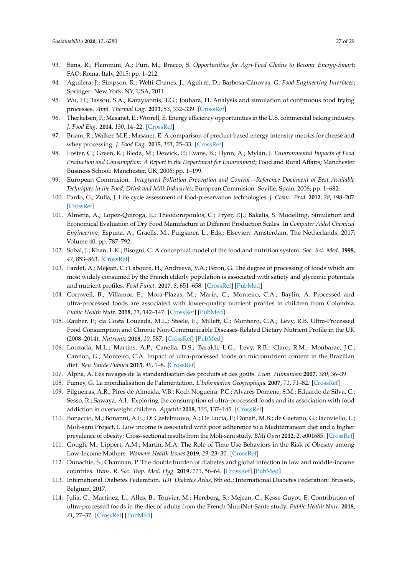- <span id="page-26-0"></span>93. Sims, R.; Flammini, A.; Puri, M.; Bracco, S. *Opportunities for Agri-Food Chains to Become Energy-Smart*; FAO: Roma, Italy, 2015; pp. 1–212.
- <span id="page-26-1"></span>94. Aguilera, J.; Simpson, R.; Welti-Chanes, J.; Aguirre, D.; Barbosa-Cánovas, G. *Food Engineering Interfaces*; Springer: New York, NY, USA, 2011.
- <span id="page-26-2"></span>95. Wu, H.; Tassou, S.A.; Karayiannis, T.G.; Jouhara, H. Analysis and simulation of continuous food frying processes. *Appl. Thermal Eng.* **2013**, *53*, 332–339. [\[CrossRef\]](http://dx.doi.org/10.1016/j.applthermaleng.2012.04.023)
- <span id="page-26-3"></span>96. Therkelsen, P.; Masanet, E.; Worrell, E. Energy efficiency opportunities in the U.S. commercial baking industry. *J. Food Eng.* **2014**, *130*, 14–22. [\[CrossRef\]](http://dx.doi.org/10.1016/j.jfoodeng.2014.01.004)
- <span id="page-26-4"></span>97. Briam, R.; Walker, M.E.; Masanet, E. A comparison of product-based energy intensity metrics for cheese and whey processing. *J. Food Eng.* **2015**, *151*, 25–33. [\[CrossRef\]](http://dx.doi.org/10.1016/j.jfoodeng.2014.11.011)
- <span id="page-26-5"></span>98. Foster, C.; Green, K.; Bleda, M.; Dewick, P.; Evans, B.; Flynn, A.; Mylan, J. *Environmental Impacts of Food Production and Consumption: A Report to the Department for Environment*; Food and Rural Affairs; Manchester Business School: Manchester, UK, 2006; pp. 1–199.
- <span id="page-26-6"></span>99. European Commision. *Integrated Pollution Prevention and Control—Reference Document of Best Available Techniques in the Food, Drink and Milk Industries*; European Commision: Seville, Spain, 2006; pp. 1–682.
- <span id="page-26-7"></span>100. Pardo, G.; Zufía, J. Life cycle assessment of food-preservation technologies. *J. Clean. Prod.* **2012**, *28*, 198–207. [\[CrossRef\]](http://dx.doi.org/10.1016/j.jclepro.2011.10.016)
- <span id="page-26-8"></span>101. Almena, A.; Lopez-Quiroga, E.; Theodoropoulos, C.; Fryer, P.J.; Bakalis, S. Modelling, Simulation and Economical Evaluation of Dry Food Manufacture at Different Production Scales. In *Computer Aided Chemical Engineering*; Espuña, A., Graells, M., Puigjaner, L., Eds.; Elsevier: Amsterdam, The Netherlands, 2017; Volume 40, pp. 787–792.
- <span id="page-26-9"></span>102. Sobal, J.; Khan, L.K.; Bisogni, C. A conceptual model of the food and nutrition system. *Soc. Sci. Med.* **1998**, *47*, 853–863. [\[CrossRef\]](http://dx.doi.org/10.1016/S0277-9536(98)00104-X)
- <span id="page-26-10"></span>103. Fardet, A.; Méjean, C.; Labouré, H.; Andreeva, V.A.; Féron, G. The degree of processing of foods which are most widely consumed by the French elderly population is associated with satiety and glycemic potentials and nutrient profiles. *Food Funct.* **2017**, *8*, 651–658. [\[CrossRef\]](http://dx.doi.org/10.1039/C6FO01495J) [\[PubMed\]](http://www.ncbi.nlm.nih.gov/pubmed/28106215)
- 104. Cornwell, B.; Villamor, E.; Mora-Plazas, M.; Marin, C.; Monteiro, C.A.; Baylin, A. Processed and ultra-processed foods are associated with lower-quality nutrient profiles in children from Colombia. *Public Health Nutr.* **2018**, *21*, 142–147. [\[CrossRef\]](http://dx.doi.org/10.1017/S1368980017000891) [\[PubMed\]](http://www.ncbi.nlm.nih.gov/pubmed/28554335)
- 105. Rauber, F.; da Costa Louzada, M.L.; Steele, E.; Millett, C.; Monteiro, C.A.; Levy, R.B. Ultra-Processed Food Consumption and Chronic Non-Communicable Diseases-Related Dietary Nutrient Profile in the UK (2008–2014). *Nutrients* **2018**, *10*, 587. [\[CrossRef\]](http://dx.doi.org/10.3390/nu10050587) [\[PubMed\]](http://www.ncbi.nlm.nih.gov/pubmed/29747447)
- <span id="page-26-11"></span>106. Louzada, M.L.; Martins, A.P.; Canella, D.S.; Baraldi, L.G.; Levy, R.B.; Claro, R.M.; Moubarac, J.C.; Cannon, G.; Monteiro, C.A. Impact of ultra-processed foods on micronutrient content in the Brazilian diet. *Rev. Saude Publica* **2015**, *49*, 1–8. [\[CrossRef\]](http://dx.doi.org/10.1590/S0034-8910.2015049006211)
- <span id="page-26-12"></span>107. Alpha, A. Les ravages de la standardisation des produits et des goûts. *Econ. Humanism* **2007**, *380*, 36–39.
- <span id="page-26-13"></span>108. Fumey, G. La mondialisation de l'alimentation. *L'Information Géographique* **2007**, *71*, 71–82. [\[CrossRef\]](http://dx.doi.org/10.3917/lig.712.0071)
- <span id="page-26-14"></span>109. Filgueiras, A.R.; Pires de Almeida, V.B.; Koch Nogueira, P.C.; Alvares Domene, S.M.; Eduardo da Silva, C.; Sesso, R.; Sawaya, A.L. Exploring the consumption of ultra-processed foods and its association with food addiction in overweight children. *Appetite* **2018**, *135*, 137–145. [\[CrossRef\]](http://dx.doi.org/10.1016/j.appet.2018.11.005)
- <span id="page-26-15"></span>110. Bonaccio, M.; Bonanni, A.E.; Di Castelnuovo, A.; De Lucia, F.; Donati, M.B.; de Gaetano, G.; Iacoviello, L.; Moli-sani Project, I. Low income is associated with poor adherence to a Mediterranean diet and a higher prevalence of obesity: Cross-sectional results from the Moli-sani study. *BMJ Open* **2012**, *2*, e001685. [\[CrossRef\]](http://dx.doi.org/10.1136/bmjopen-2012-001685)
- <span id="page-26-16"></span>111. Gough, M.; Lippert, A.M.; Martin, M.A. The Role of Time Use Behaviors in the Risk of Obesity among Low-Income Mothers. *Womens Health Issues* **2019**, *29*, 23–30. [\[CrossRef\]](http://dx.doi.org/10.1016/j.whi.2018.10.002)
- <span id="page-26-17"></span>112. Dunachie, S.; Chamnan, P. The double burden of diabetes and global infection in low and middle-income countries. *Trans. R. Soc. Trop. Med. Hyg.* **2019**, *113*, 56–64. [\[CrossRef\]](http://dx.doi.org/10.1093/trstmh/try124) [\[PubMed\]](http://www.ncbi.nlm.nih.gov/pubmed/30517697)
- <span id="page-26-18"></span>113. International Diabetes Federation. *IDF Diabetes Atlas*, 8th ed.; International Diabetes Federation: Brussels, Belgium, 2017.
- <span id="page-26-19"></span>114. Julia, C.; Martinez, L.; Alles, B.; Touvier, M.; Hercberg, S.; Mejean, C.; Kesse-Guyot, E. Contribution of ultra-processed foods in the diet of adults from the French NutriNet-Sante study. *Public Health Nutr.* **2018**, *21*, 27–37. [\[CrossRef\]](http://dx.doi.org/10.1017/S1368980017001367) [\[PubMed\]](http://www.ncbi.nlm.nih.gov/pubmed/28703085)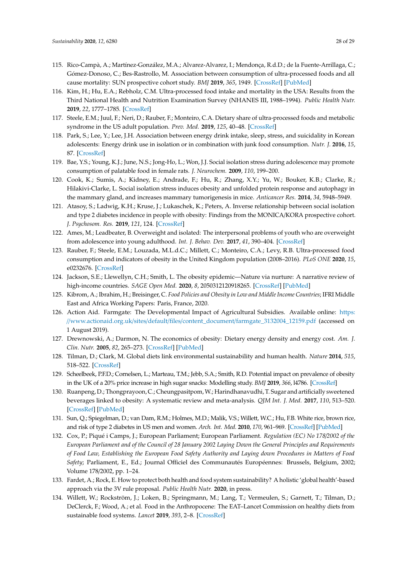- <span id="page-27-0"></span>115. Rico-Campà, A.; Martínez-González, M.A.; Alvarez-Alvarez, I.; Mendonça, R.d.D.; de la Fuente-Arrillaga, C.; Gómez-Donoso, C.; Bes-Rastrollo, M. Association between consumption of ultra-processed foods and all cause mortality: SUN prospective cohort study. *BMJ* **2019**, *365*, 1949. [\[CrossRef\]](http://dx.doi.org/10.1136/bmj.l1949) [\[PubMed\]](http://www.ncbi.nlm.nih.gov/pubmed/31142450)
- <span id="page-27-1"></span>116. Kim, H.; Hu, E.A.; Rebholz, C.M. Ultra-processed food intake and mortality in the USA: Results from the Third National Health and Nutrition Examination Survey (NHANES III, 1988–1994). *Public Health Nutr.* **2019**, *22*, 1777–1785. [\[CrossRef\]](http://dx.doi.org/10.1017/S1368980018003890)
- <span id="page-27-2"></span>117. Steele, E.M.; Juul, F.; Neri, D.; Rauber, F.; Monteiro, C.A. Dietary share of ultra-processed foods and metabolic syndrome in the US adult population. *Prev. Med.* **2019**, *125*, 40–48. [\[CrossRef\]](http://dx.doi.org/10.1016/j.ypmed.2019.05.004)
- <span id="page-27-3"></span>118. Park, S.; Lee, Y.; Lee, J.H. Association between energy drink intake, sleep, stress, and suicidality in Korean adolescents: Energy drink use in isolation or in combination with junk food consumption. *Nutr. J.* **2016**, *15*, 87. [\[CrossRef\]](http://dx.doi.org/10.1186/s12937-016-0204-7)
- <span id="page-27-4"></span>119. Bae, Y.S.; Young, K.J.; June, N.S.; Jong-Ho, L.; Won, J.J. Social isolation stress during adolescence may promote consumption of palatable food in female rats. *J. Neurochem.* **2009**, *110*, 199–200.
- <span id="page-27-5"></span>120. Cook, K.; Sumis, A.; Kidney, E.; Andrade, F.; Hu, R.; Zhang, X.Y.; Yu, W.; Bouker, K.B.; Clarke, R.; Hilakivi-Clarke, L. Social isolation stress induces obesity and unfolded protein response and autophagy in the mammary gland, and increases mammary tumorigenesis in mice. *Anticancer Res.* **2014**, *34*, 5948–5949.
- <span id="page-27-6"></span>121. Atasoy, S.; Ladwig, K.H.; Kruse, J.; Lukaschek, K.; Peters, A. Inverse relationship between social isolation and type 2 diabetes incidence in people with obesity: Findings from the MONICA/KORA prospective cohort. *J. Psychosom. Res.* **2019**, *121*, 124. [\[CrossRef\]](http://dx.doi.org/10.1016/j.jpsychores.2019.03.076)
- <span id="page-27-7"></span>122. Ames, M.; Leadbeater, B. Overweight and isolated: The interpersonal problems of youth who are overweight from adolescence into young adulthood. *Int. J. Behav. Dev.* **2017**, *41*, 390–404. [\[CrossRef\]](http://dx.doi.org/10.1177/0165025416647799)
- <span id="page-27-8"></span>123. Rauber, F.; Steele, E.M.; Louzada, M.L.d.C.; Millett, C.; Monteiro, C.A.; Levy, R.B. Ultra-processed food consumption and indicators of obesity in the United Kingdom population (2008–2016). *PLoS ONE* **2020**, *15*, e0232676. [\[CrossRef\]](http://dx.doi.org/10.1371/journal.pone.0232676)
- <span id="page-27-9"></span>124. Jackson, S.E.; Llewellyn, C.H.; Smith, L. The obesity epidemic—Nature via nurture: A narrative review of high-income countries. *SAGE Open Med.* **2020**, *8*, 2050312120918265. [\[CrossRef\]](http://dx.doi.org/10.1177/2050312120918265) [\[PubMed\]](http://www.ncbi.nlm.nih.gov/pubmed/32435480)
- <span id="page-27-10"></span>125. Kibrom, A.; Ibrahim, H.; Breisinger, C. *Food Policies and Obesity in Low and Middle Income Countries*; IFRI Middle East and Africa Working Papers: Paris, France, 2020.
- <span id="page-27-11"></span>126. Action Aid. Farmgate: The Developmental Impact of Agricultural Subsidies. Available online: [https:](https://www.actionaid.org.uk/sites/default/files/content_document/farmgate_3132004_12159.pdf) //www.actionaid.org.uk/sites/default/files/content\_document/[farmgate\\_3132004\\_12159.pdf](https://www.actionaid.org.uk/sites/default/files/content_document/farmgate_3132004_12159.pdf) (accessed on 1 August 2019).
- <span id="page-27-12"></span>127. Drewnowski, A.; Darmon, N. The economics of obesity: Dietary energy density and energy cost. *Am. J. Clin. Nutr.* **2005**, *82*, 265–273. [\[CrossRef\]](http://dx.doi.org/10.1093/ajcn/82.1.265S) [\[PubMed\]](http://www.ncbi.nlm.nih.gov/pubmed/16002835)
- <span id="page-27-13"></span>128. Tilman, D.; Clark, M. Global diets link environmental sustainability and human health. *Nature* **2014**, *515*, 518–522. [\[CrossRef\]](http://dx.doi.org/10.1038/nature13959)
- <span id="page-27-14"></span>129. Scheelbeek, P.F.D.; Cornelsen, L.; Marteau, T.M.; Jebb, S.A.; Smith, R.D. Potential impact on prevalence of obesity in the UK of a 20% price increase in high sugar snacks: Modelling study. *BMJ* **2019**, *366*, l4786. [\[CrossRef\]](http://dx.doi.org/10.1136/bmj.l4786)
- <span id="page-27-15"></span>130. Ruanpeng, D.; Thongprayoon, C.; Cheungpasitpom,W.; Harindhanavudhi, T. Sugar and artificially sweetened beverages linked to obesity: A systematic review and meta-analysis. *QJM Int. J. Med.* **2017**, *110*, 513–520. [\[CrossRef\]](http://dx.doi.org/10.1093/qjmed/hcx068) [\[PubMed\]](http://www.ncbi.nlm.nih.gov/pubmed/28402535)
- <span id="page-27-16"></span>131. Sun, Q.; Spiegelman, D.; van Dam, R.M.; Holmes, M.D.; Malik, V.S.; Willett, W.C.; Hu, F.B. White rice, brown rice, and risk of type 2 diabetes in US men and women. *Arch. Int. Med.* **2010**, *170*, 961–969. [\[CrossRef\]](http://dx.doi.org/10.1001/archinternmed.2010.109) [\[PubMed\]](http://www.ncbi.nlm.nih.gov/pubmed/20548009)
- <span id="page-27-17"></span>132. Cox, P.; Piqué i Camps, J.; European Parliament; European Parliament. *Regulation (EC) No 178*/*2002 of the European Parliament and of the Council of 28 January 2002 Laying Down the General Principles and Requirements of Food Law, Establishing the European Food Safety Authority and Laying down Procedures in Matters of Food Safety*; Parliament, E., Ed.; Journal Officiel des Communautés Européennes: Brussels, Belgium, 2002; Volume 178/2002, pp. 1–24.
- <span id="page-27-18"></span>133. Fardet, A.; Rock, E. How to protect both health and food system sustainability? A holistic 'global health'-based approach via the 3V rule proposal. *Public Health Nutr.* **2020**, in press.
- <span id="page-27-19"></span>134. Willett, W.; Rockström, J.; Loken, B.; Springmann, M.; Lang, T.; Vermeulen, S.; Garnett, T.; Tilman, D.; DeClerck, F.; Wood, A.; et al. Food in the Anthropocene: The EAT–Lancet Commission on healthy diets from sustainable food systems. *Lancet* **2019**, *393*, 2–8. [\[CrossRef\]](http://dx.doi.org/10.1016/S0140-6736(18)31788-4)